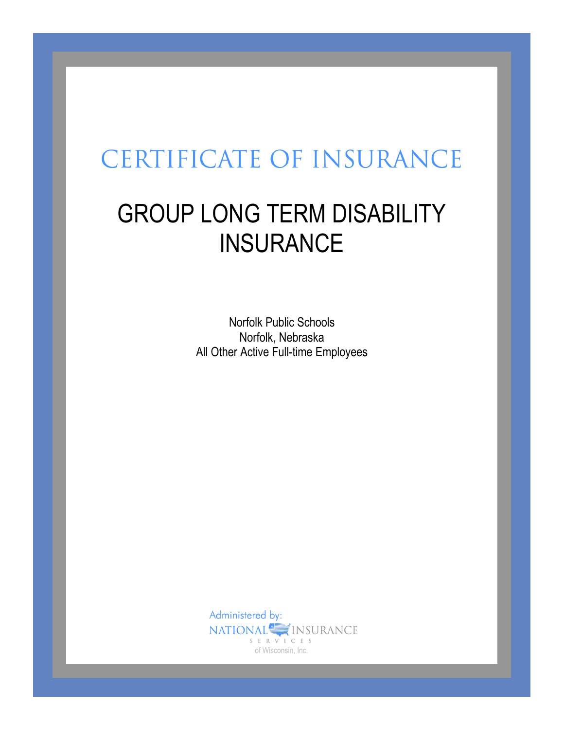# **CERTIFICATE OF INSURANCE**

# GROUP LONG TERM DISABILITY **INSURANCE**

Norfolk Public Schools Norfolk, Nebraska All Other Active Full-time Employees

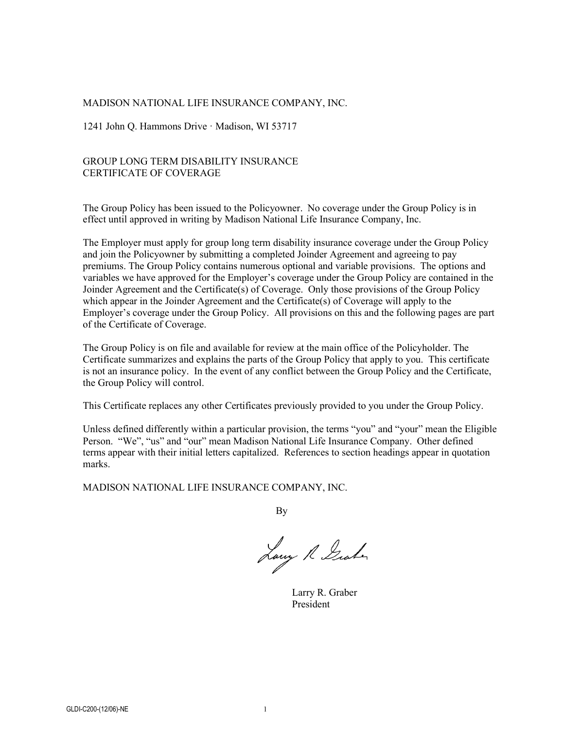#### MADISON NATIONAL LIFE INSURANCE COMPANY, INC.

1241 John Q. Hammons Drive · Madison, WI 53717

#### GROUP LONG TERM DISABILITY INSURANCE CERTIFICATE OF COVERAGE

The Group Policy has been issued to the Policyowner. No coverage under the Group Policy is in effect until approved in writing by Madison National Life Insurance Company, Inc.

The Employer must apply for group long term disability insurance coverage under the Group Policy and join the Policyowner by submitting a completed Joinder Agreement and agreeing to pay premiums. The Group Policy contains numerous optional and variable provisions. The options and variables we have approved for the Employer's coverage under the Group Policy are contained in the Joinder Agreement and the Certificate(s) of Coverage. Only those provisions of the Group Policy which appear in the Joinder Agreement and the Certificate(s) of Coverage will apply to the Employer's coverage under the Group Policy. All provisions on this and the following pages are part of the Certificate of Coverage.

The Group Policy is on file and available for review at the main office of the Policyholder. The Certificate summarizes and explains the parts of the Group Policy that apply to you. This certificate is not an insurance policy. In the event of any conflict between the Group Policy and the Certificate, the Group Policy will control.

This Certificate replaces any other Certificates previously provided to you under the Group Policy.

Unless defined differently within a particular provision, the terms "you" and "your" mean the Eligible Person. "We", "us" and "our" mean Madison National Life Insurance Company. Other defined terms appear with their initial letters capitalized. References to section headings appear in quotation marks.

MADISON NATIONAL LIFE INSURANCE COMPANY, INC.

By

Lawy R Graham

Larry R. Graber President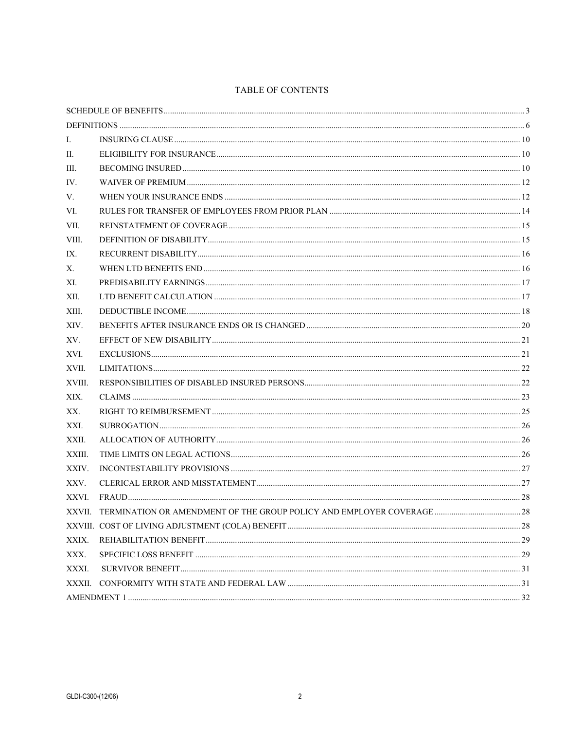#### TABLE OF CONTENTS

| Ι.     |                                                                              |  |  |  |
|--------|------------------------------------------------------------------------------|--|--|--|
| П.     |                                                                              |  |  |  |
| III.   |                                                                              |  |  |  |
| IV.    |                                                                              |  |  |  |
| V.     |                                                                              |  |  |  |
| VI.    |                                                                              |  |  |  |
| VII.   |                                                                              |  |  |  |
| VIII.  |                                                                              |  |  |  |
| IX.    |                                                                              |  |  |  |
| Х.     |                                                                              |  |  |  |
| XI.    |                                                                              |  |  |  |
| XII.   |                                                                              |  |  |  |
| XIII.  |                                                                              |  |  |  |
| XIV.   |                                                                              |  |  |  |
| XV.    |                                                                              |  |  |  |
| XVI.   |                                                                              |  |  |  |
| XVII.  |                                                                              |  |  |  |
| XVIII. |                                                                              |  |  |  |
| XIX.   |                                                                              |  |  |  |
| XX.    |                                                                              |  |  |  |
| XXI.   |                                                                              |  |  |  |
| XXII.  |                                                                              |  |  |  |
| XXIII. |                                                                              |  |  |  |
| XXIV.  |                                                                              |  |  |  |
| XXV.   |                                                                              |  |  |  |
| XXVI.  |                                                                              |  |  |  |
|        | XXVII. TERMINATION OR AMENDMENT OF THE GROUP POLICY AND EMPLOYER COVERAGE 28 |  |  |  |
|        |                                                                              |  |  |  |
| XXIX.  |                                                                              |  |  |  |
| XXX.   |                                                                              |  |  |  |
| XXXI.  |                                                                              |  |  |  |
| XXXII. |                                                                              |  |  |  |
|        |                                                                              |  |  |  |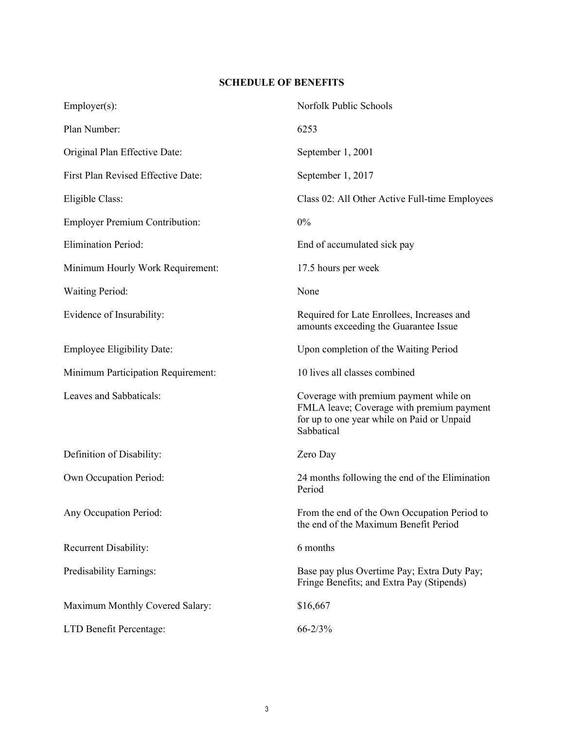# **SCHEDULE OF BENEFITS**

| $Emplayer(s)$ :                       | Norfolk Public Schools                                                                                                                          |  |
|---------------------------------------|-------------------------------------------------------------------------------------------------------------------------------------------------|--|
| Plan Number:                          | 6253                                                                                                                                            |  |
| Original Plan Effective Date:         | September 1, 2001                                                                                                                               |  |
| First Plan Revised Effective Date:    | September 1, 2017                                                                                                                               |  |
| Eligible Class:                       | Class 02: All Other Active Full-time Employees                                                                                                  |  |
| <b>Employer Premium Contribution:</b> | 0%                                                                                                                                              |  |
| <b>Elimination Period:</b>            | End of accumulated sick pay                                                                                                                     |  |
| Minimum Hourly Work Requirement:      | 17.5 hours per week                                                                                                                             |  |
| <b>Waiting Period:</b>                | None                                                                                                                                            |  |
| Evidence of Insurability:             | Required for Late Enrollees, Increases and<br>amounts exceeding the Guarantee Issue                                                             |  |
| <b>Employee Eligibility Date:</b>     | Upon completion of the Waiting Period                                                                                                           |  |
| Minimum Participation Requirement:    | 10 lives all classes combined                                                                                                                   |  |
| Leaves and Sabbaticals:               | Coverage with premium payment while on<br>FMLA leave; Coverage with premium payment<br>for up to one year while on Paid or Unpaid<br>Sabbatical |  |
| Definition of Disability:             | Zero Day                                                                                                                                        |  |
| Own Occupation Period:                | 24 months following the end of the Elimination<br>Period                                                                                        |  |
| Any Occupation Period:                | From the end of the Own Occupation Period to<br>the end of the Maximum Benefit Period                                                           |  |
| Recurrent Disability:                 | 6 months                                                                                                                                        |  |
| Predisability Earnings:               | Base pay plus Overtime Pay; Extra Duty Pay;<br>Fringe Benefits; and Extra Pay (Stipends)                                                        |  |
| Maximum Monthly Covered Salary:       | \$16,667                                                                                                                                        |  |
| LTD Benefit Percentage:               | $66 - 2/3%$                                                                                                                                     |  |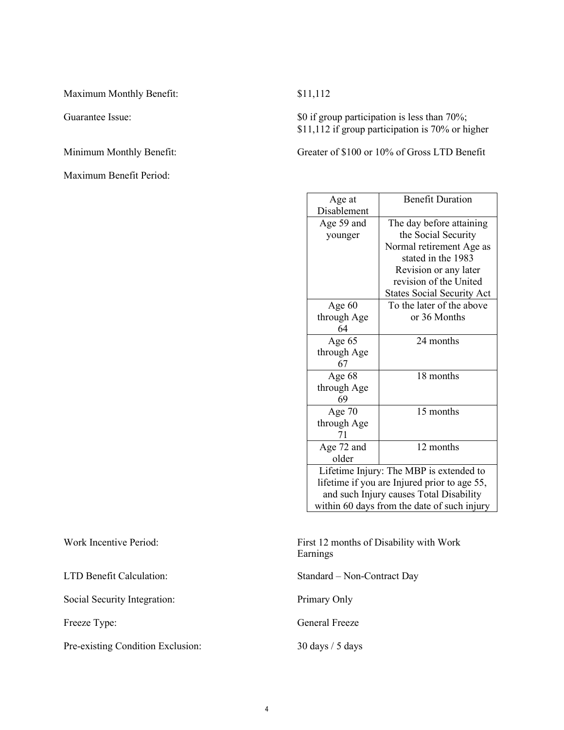Maximum Monthly Benefit: \$11,112

Maximum Benefit Period:

Guarantee Issue:  $\text{Sup} \text{S}0$  if group participation is less than 70%; \$11,112 if group participation is 70% or higher

Minimum Monthly Benefit: Greater of \$100 or 10% of Gross LTD Benefit

| Age at                                       | <b>Benefit Duration</b>           |  |  |  |
|----------------------------------------------|-----------------------------------|--|--|--|
| Disablement                                  |                                   |  |  |  |
| Age 59 and                                   | The day before attaining          |  |  |  |
| younger                                      | the Social Security               |  |  |  |
|                                              | Normal retirement Age as          |  |  |  |
|                                              | stated in the 1983                |  |  |  |
|                                              | Revision or any later             |  |  |  |
|                                              | revision of the United            |  |  |  |
|                                              | <b>States Social Security Act</b> |  |  |  |
| Age $60$                                     | To the later of the above         |  |  |  |
| through Age                                  | or 36 Months                      |  |  |  |
| 64                                           |                                   |  |  |  |
| Age 65                                       | 24 months                         |  |  |  |
| through Age                                  |                                   |  |  |  |
| 67                                           |                                   |  |  |  |
| Age 68                                       | 18 months                         |  |  |  |
| through Age                                  |                                   |  |  |  |
| 69                                           |                                   |  |  |  |
| Age 70                                       | 15 months                         |  |  |  |
| through Age                                  |                                   |  |  |  |
| 71                                           |                                   |  |  |  |
| Age 72 and                                   | 12 months                         |  |  |  |
| older                                        |                                   |  |  |  |
| Lifetime Injury: The MBP is extended to      |                                   |  |  |  |
| lifetime if you are Injured prior to age 55, |                                   |  |  |  |
| and such Injury causes Total Disability      |                                   |  |  |  |
| within 60 days from the date of such injury  |                                   |  |  |  |

Work Incentive Period: First 12 months of Disability with Work Earnings

LTD Benefit Calculation: Standard – Non-Contract Day

Freeze Type: General Freeze

Social Security Integration: Primary Only

Pre-existing Condition Exclusion: 30 days / 5 days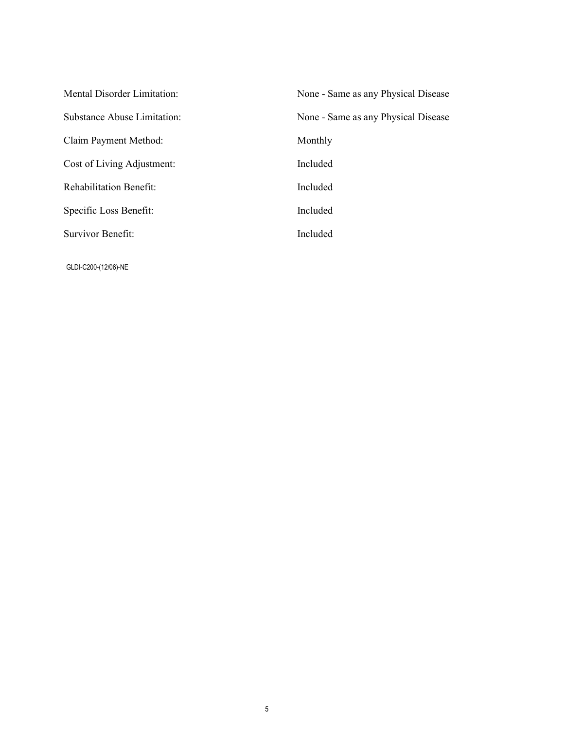| <b>Mental Disorder Limitation:</b> | None - Same as any Physical Disease |
|------------------------------------|-------------------------------------|
| Substance Abuse Limitation:        | None - Same as any Physical Disease |
| Claim Payment Method:              | Monthly                             |
| Cost of Living Adjustment:         | Included                            |
| <b>Rehabilitation Benefit:</b>     | Included                            |
| Specific Loss Benefit:             | Included                            |
| Survivor Benefit:                  | Included                            |
|                                    |                                     |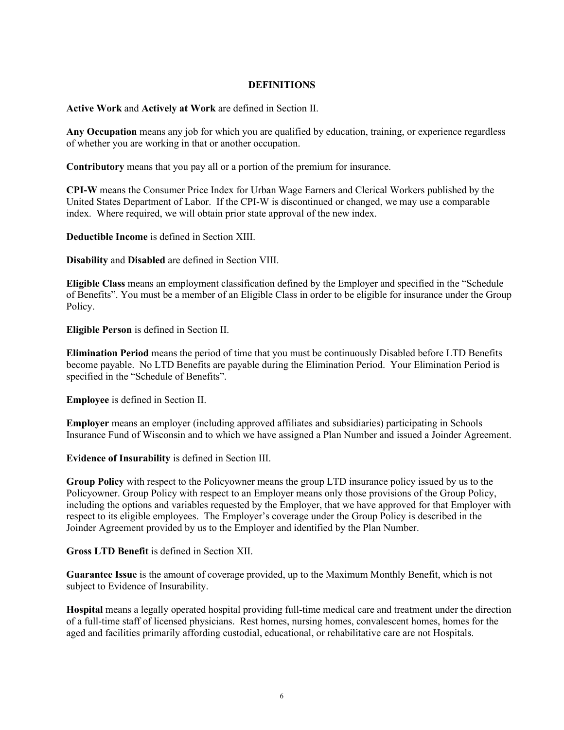#### **DEFINITIONS**

**Active Work** and **Actively at Work** are defined in Section II.

**Any Occupation** means any job for which you are qualified by education, training, or experience regardless of whether you are working in that or another occupation.

**Contributory** means that you pay all or a portion of the premium for insurance.

**CPI-W** means the Consumer Price Index for Urban Wage Earners and Clerical Workers published by the United States Department of Labor. If the CPI-W is discontinued or changed, we may use a comparable index. Where required, we will obtain prior state approval of the new index.

**Deductible Income** is defined in Section XIII.

**Disability** and **Disabled** are defined in Section VIII.

**Eligible Class** means an employment classification defined by the Employer and specified in the "Schedule of Benefits". You must be a member of an Eligible Class in order to be eligible for insurance under the Group Policy.

**Eligible Person** is defined in Section II.

**Elimination Period** means the period of time that you must be continuously Disabled before LTD Benefits become payable. No LTD Benefits are payable during the Elimination Period. Your Elimination Period is specified in the "Schedule of Benefits".

**Employee** is defined in Section II.

**Employer** means an employer (including approved affiliates and subsidiaries) participating in Schools Insurance Fund of Wisconsin and to which we have assigned a Plan Number and issued a Joinder Agreement.

**Evidence of Insurability** is defined in Section III.

**Group Policy** with respect to the Policyowner means the group LTD insurance policy issued by us to the Policyowner. Group Policy with respect to an Employer means only those provisions of the Group Policy, including the options and variables requested by the Employer, that we have approved for that Employer with respect to its eligible employees. The Employer's coverage under the Group Policy is described in the Joinder Agreement provided by us to the Employer and identified by the Plan Number.

**Gross LTD Benefit** is defined in Section XII.

**Guarantee Issue** is the amount of coverage provided, up to the Maximum Monthly Benefit, which is not subject to Evidence of Insurability.

**Hospital** means a legally operated hospital providing full-time medical care and treatment under the direction of a full-time staff of licensed physicians. Rest homes, nursing homes, convalescent homes, homes for the aged and facilities primarily affording custodial, educational, or rehabilitative care are not Hospitals.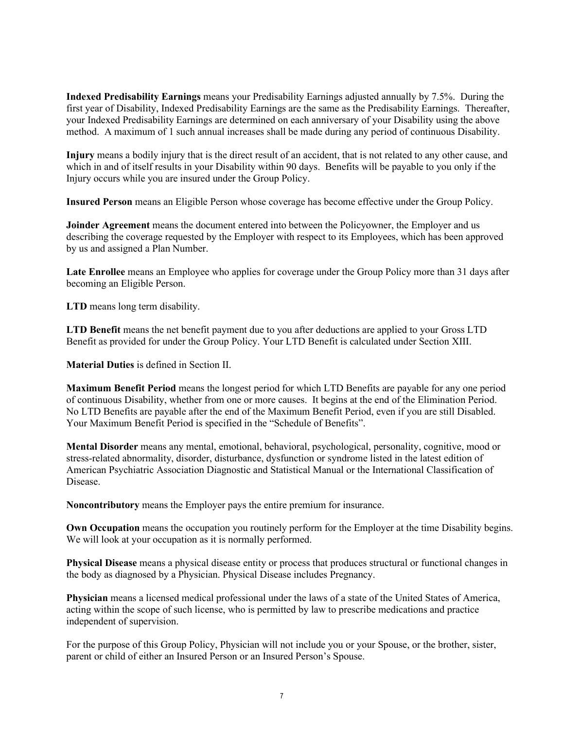**Indexed Predisability Earnings** means your Predisability Earnings adjusted annually by 7.5%. During the first year of Disability, Indexed Predisability Earnings are the same as the Predisability Earnings. Thereafter, your Indexed Predisability Earnings are determined on each anniversary of your Disability using the above method. A maximum of 1 such annual increases shall be made during any period of continuous Disability.

**Injury** means a bodily injury that is the direct result of an accident, that is not related to any other cause, and which in and of itself results in your Disability within 90 days. Benefits will be payable to you only if the Injury occurs while you are insured under the Group Policy.

**Insured Person** means an Eligible Person whose coverage has become effective under the Group Policy.

**Joinder Agreement** means the document entered into between the Policyowner, the Employer and us describing the coverage requested by the Employer with respect to its Employees, which has been approved by us and assigned a Plan Number.

**Late Enrollee** means an Employee who applies for coverage under the Group Policy more than 31 days after becoming an Eligible Person.

**LTD** means long term disability.

**LTD Benefit** means the net benefit payment due to you after deductions are applied to your Gross LTD Benefit as provided for under the Group Policy. Your LTD Benefit is calculated under Section XIII.

**Material Duties** is defined in Section II.

**Maximum Benefit Period** means the longest period for which LTD Benefits are payable for any one period of continuous Disability, whether from one or more causes. It begins at the end of the Elimination Period. No LTD Benefits are payable after the end of the Maximum Benefit Period, even if you are still Disabled. Your Maximum Benefit Period is specified in the "Schedule of Benefits".

**Mental Disorder** means any mental, emotional, behavioral, psychological, personality, cognitive, mood or stress-related abnormality, disorder, disturbance, dysfunction or syndrome listed in the latest edition of American Psychiatric Association Diagnostic and Statistical Manual or the International Classification of Disease.

**Noncontributory** means the Employer pays the entire premium for insurance.

**Own Occupation** means the occupation you routinely perform for the Employer at the time Disability begins. We will look at your occupation as it is normally performed.

**Physical Disease** means a physical disease entity or process that produces structural or functional changes in the body as diagnosed by a Physician. Physical Disease includes Pregnancy.

**Physician** means a licensed medical professional under the laws of a state of the United States of America, acting within the scope of such license, who is permitted by law to prescribe medications and practice independent of supervision.

For the purpose of this Group Policy, Physician will not include you or your Spouse, or the brother, sister, parent or child of either an Insured Person or an Insured Person's Spouse.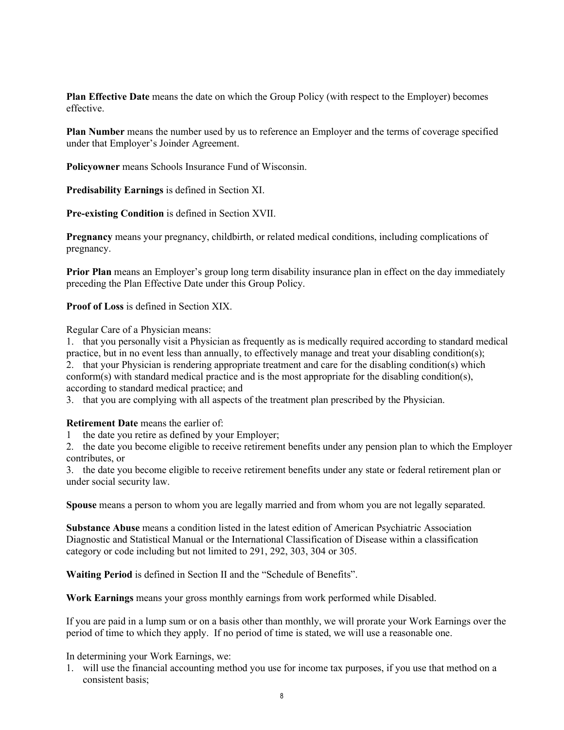**Plan Effective Date** means the date on which the Group Policy (with respect to the Employer) becomes effective.

**Plan Number** means the number used by us to reference an Employer and the terms of coverage specified under that Employer's Joinder Agreement.

**Policyowner** means Schools Insurance Fund of Wisconsin.

**Predisability Earnings** is defined in Section XI.

**Pre-existing Condition** is defined in Section XVII.

**Pregnancy** means your pregnancy, childbirth, or related medical conditions, including complications of pregnancy.

**Prior Plan** means an Employer's group long term disability insurance plan in effect on the day immediately preceding the Plan Effective Date under this Group Policy.

**Proof of Loss** is defined in Section XIX.

Regular Care of a Physician means:

1. that you personally visit a Physician as frequently as is medically required according to standard medical practice, but in no event less than annually, to effectively manage and treat your disabling condition(s); 2. that your Physician is rendering appropriate treatment and care for the disabling condition(s) which conform(s) with standard medical practice and is the most appropriate for the disabling condition(s), according to standard medical practice; and

3. that you are complying with all aspects of the treatment plan prescribed by the Physician.

**Retirement Date** means the earlier of:

1 the date you retire as defined by your Employer;

2. the date you become eligible to receive retirement benefits under any pension plan to which the Employer contributes, or

3. the date you become eligible to receive retirement benefits under any state or federal retirement plan or under social security law.

**Spouse** means a person to whom you are legally married and from whom you are not legally separated.

**Substance Abuse** means a condition listed in the latest edition of American Psychiatric Association Diagnostic and Statistical Manual or the International Classification of Disease within a classification category or code including but not limited to 291, 292, 303, 304 or 305.

**Waiting Period** is defined in Section II and the "Schedule of Benefits".

**Work Earnings** means your gross monthly earnings from work performed while Disabled.

If you are paid in a lump sum or on a basis other than monthly, we will prorate your Work Earnings over the period of time to which they apply. If no period of time is stated, we will use a reasonable one.

In determining your Work Earnings, we:

1. will use the financial accounting method you use for income tax purposes, if you use that method on a consistent basis;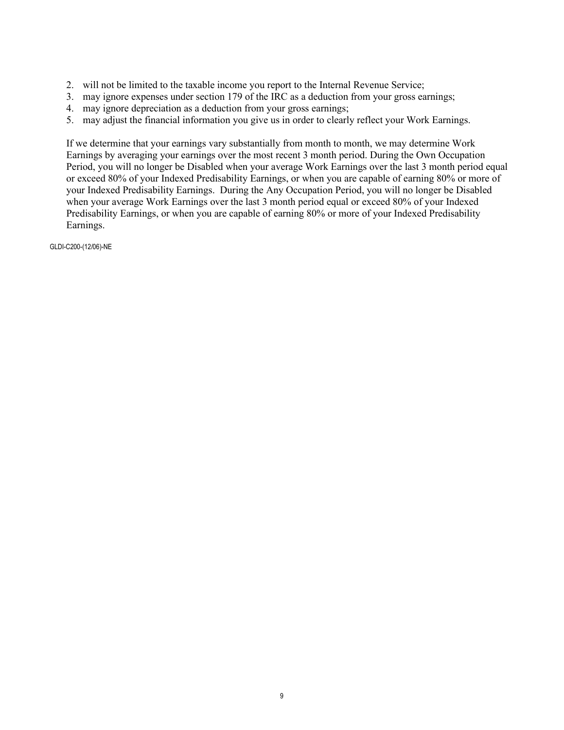- 2. will not be limited to the taxable income you report to the Internal Revenue Service;
- 3. may ignore expenses under section 179 of the IRC as a deduction from your gross earnings;
- 4. may ignore depreciation as a deduction from your gross earnings;
- 5. may adjust the financial information you give us in order to clearly reflect your Work Earnings.

If we determine that your earnings vary substantially from month to month, we may determine Work Earnings by averaging your earnings over the most recent 3 month period. During the Own Occupation Period, you will no longer be Disabled when your average Work Earnings over the last 3 month period equal or exceed 80% of your Indexed Predisability Earnings, or when you are capable of earning 80% or more of your Indexed Predisability Earnings. During the Any Occupation Period, you will no longer be Disabled when your average Work Earnings over the last 3 month period equal or exceed 80% of your Indexed Predisability Earnings, or when you are capable of earning 80% or more of your Indexed Predisability Earnings.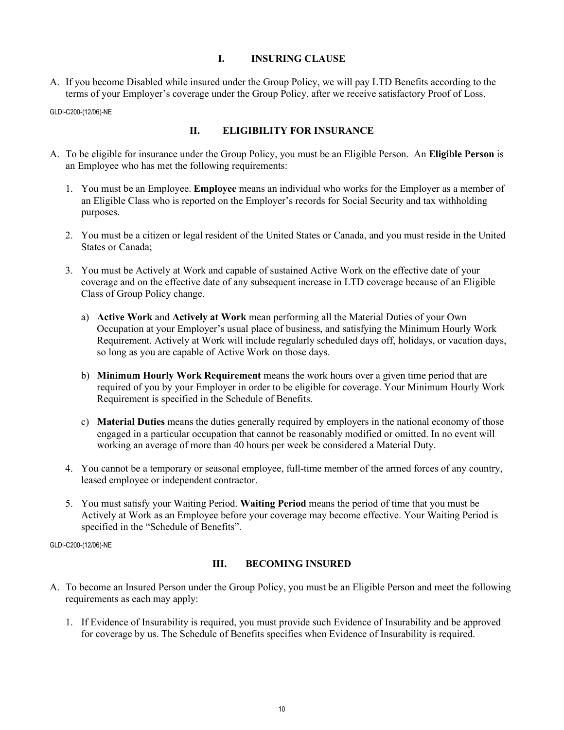### **I. INSURING CLAUSE**

A. If you become Disabled while insured under the Group Policy, we will pay LTD Benefits according to the terms of your Employer's coverage under the Group Policy, after we receive satisfactory Proof of Loss.

GLDI-C200-(12/06)-NE

### **II. ELIGIBILITY FOR INSURANCE**

- A. To be eligible for insurance under the Group Policy, you must be an Eligible Person. An **Eligible Person** is an Employee who has met the following requirements:
	- 1. You must be an Employee. **Employee** means an individual who works for the Employer as a member of an Eligible Class who is reported on the Employer's records for Social Security and tax withholding purposes.
	- 2. You must be a citizen or legal resident of the United States or Canada, and you must reside in the United States or Canada;
	- 3. You must be Actively at Work and capable of sustained Active Work on the effective date of your coverage and on the effective date of any subsequent increase in LTD coverage because of an Eligible Class of Group Policy change.
		- a) **Active Work** and **Actively at Work** mean performing all the Material Duties of your Own Occupation at your Employer's usual place of business, and satisfying the Minimum Hourly Work Requirement. Actively at Work will include regularly scheduled days off, holidays, or vacation days, so long as you are capable of Active Work on those days.
		- b) **Minimum Hourly Work Requirement** means the work hours over a given time period that are required of you by your Employer in order to be eligible for coverage. Your Minimum Hourly Work Requirement is specified in the Schedule of Benefits.
		- c) **Material Duties** means the duties generally required by employers in the national economy of those engaged in a particular occupation that cannot be reasonably modified or omitted. In no event will working an average of more than 40 hours per week be considered a Material Duty.
	- 4. You cannot be a temporary or seasonal employee, full-time member of the armed forces of any country, leased employee or independent contractor.
	- 5. You must satisfy your Waiting Period. **Waiting Period** means the period of time that you must be Actively at Work as an Employee before your coverage may become effective. Your Waiting Period is specified in the "Schedule of Benefits".

GLDI-C200-(12/06)-NE

#### **III. BECOMING INSURED**

- A. To become an Insured Person under the Group Policy, you must be an Eligible Person and meet the following requirements as each may apply:
	- 1. If Evidence of Insurability is required, you must provide such Evidence of Insurability and be approved for coverage by us. The Schedule of Benefits specifies when Evidence of Insurability is required.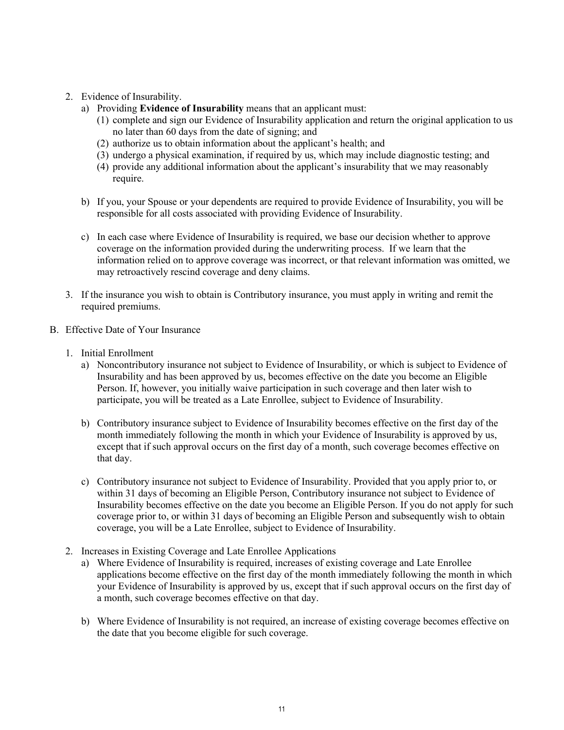- 2. Evidence of Insurability.
	- a) Providing **Evidence of Insurability** means that an applicant must:
		- (1) complete and sign our Evidence of Insurability application and return the original application to us no later than 60 days from the date of signing; and
		- (2) authorize us to obtain information about the applicant's health; and
		- (3) undergo a physical examination, if required by us, which may include diagnostic testing; and
		- (4) provide any additional information about the applicant's insurability that we may reasonably require.
	- b) If you, your Spouse or your dependents are required to provide Evidence of Insurability, you will be responsible for all costs associated with providing Evidence of Insurability.
	- c) In each case where Evidence of Insurability is required, we base our decision whether to approve coverage on the information provided during the underwriting process. If we learn that the information relied on to approve coverage was incorrect, or that relevant information was omitted, we may retroactively rescind coverage and deny claims.
- 3. If the insurance you wish to obtain is Contributory insurance, you must apply in writing and remit the required premiums.
- B. Effective Date of Your Insurance
	- 1. Initial Enrollment
		- a) Noncontributory insurance not subject to Evidence of Insurability, or which is subject to Evidence of Insurability and has been approved by us, becomes effective on the date you become an Eligible Person. If, however, you initially waive participation in such coverage and then later wish to participate, you will be treated as a Late Enrollee, subject to Evidence of Insurability.
		- b) Contributory insurance subject to Evidence of Insurability becomes effective on the first day of the month immediately following the month in which your Evidence of Insurability is approved by us, except that if such approval occurs on the first day of a month, such coverage becomes effective on that day.
		- c) Contributory insurance not subject to Evidence of Insurability. Provided that you apply prior to, or within 31 days of becoming an Eligible Person, Contributory insurance not subject to Evidence of Insurability becomes effective on the date you become an Eligible Person. If you do not apply for such coverage prior to, or within 31 days of becoming an Eligible Person and subsequently wish to obtain coverage, you will be a Late Enrollee, subject to Evidence of Insurability.
	- 2. Increases in Existing Coverage and Late Enrollee Applications
		- a) Where Evidence of Insurability is required, increases of existing coverage and Late Enrollee applications become effective on the first day of the month immediately following the month in which your Evidence of Insurability is approved by us, except that if such approval occurs on the first day of a month, such coverage becomes effective on that day.
		- b) Where Evidence of Insurability is not required, an increase of existing coverage becomes effective on the date that you become eligible for such coverage.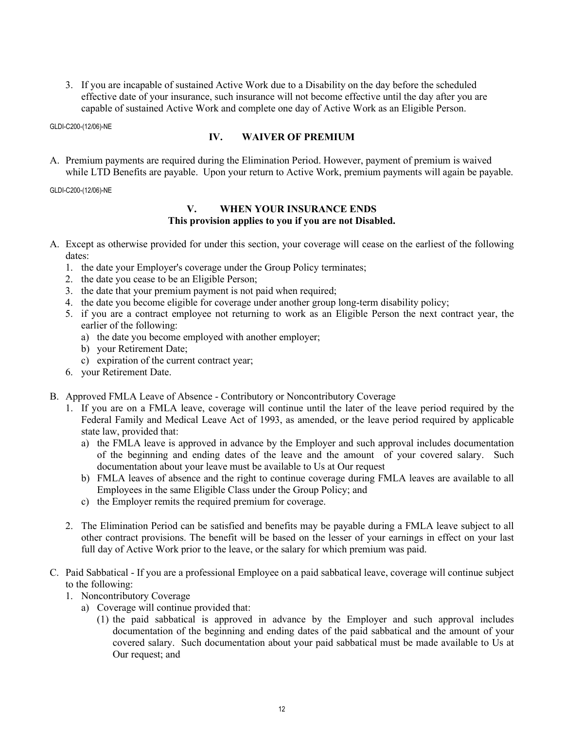3. If you are incapable of sustained Active Work due to a Disability on the day before the scheduled effective date of your insurance, such insurance will not become effective until the day after you are capable of sustained Active Work and complete one day of Active Work as an Eligible Person.

GLDI-C200-(12/06)-NE

#### **IV. WAIVER OF PREMIUM**

A. Premium payments are required during the Elimination Period. However, payment of premium is waived while LTD Benefits are payable. Upon your return to Active Work, premium payments will again be payable.

#### GLDI-C200-(12/06)-NE

#### **V. WHEN YOUR INSURANCE ENDS This provision applies to you if you are not Disabled.**

- A. Except as otherwise provided for under this section, your coverage will cease on the earliest of the following dates:
	- 1. the date your Employer's coverage under the Group Policy terminates;
	- 2. the date you cease to be an Eligible Person;
	- 3. the date that your premium payment is not paid when required;
	- 4. the date you become eligible for coverage under another group long-term disability policy;
	- 5. if you are a contract employee not returning to work as an Eligible Person the next contract year, the earlier of the following:
		- a) the date you become employed with another employer;
		- b) your Retirement Date;
		- c) expiration of the current contract year;
	- 6. your Retirement Date.
- B. Approved FMLA Leave of Absence Contributory or Noncontributory Coverage
	- 1. If you are on a FMLA leave, coverage will continue until the later of the leave period required by the Federal Family and Medical Leave Act of 1993, as amended, or the leave period required by applicable state law, provided that:
		- a) the FMLA leave is approved in advance by the Employer and such approval includes documentation of the beginning and ending dates of the leave and the amount of your covered salary. Such documentation about your leave must be available to Us at Our request
		- b) FMLA leaves of absence and the right to continue coverage during FMLA leaves are available to all Employees in the same Eligible Class under the Group Policy; and
		- c) the Employer remits the required premium for coverage.
	- 2. The Elimination Period can be satisfied and benefits may be payable during a FMLA leave subject to all other contract provisions. The benefit will be based on the lesser of your earnings in effect on your last full day of Active Work prior to the leave, or the salary for which premium was paid.
- C. Paid Sabbatical If you are a professional Employee on a paid sabbatical leave, coverage will continue subject to the following:
	- 1. Noncontributory Coverage
		- a) Coverage will continue provided that:
			- (1) the paid sabbatical is approved in advance by the Employer and such approval includes documentation of the beginning and ending dates of the paid sabbatical and the amount of your covered salary. Such documentation about your paid sabbatical must be made available to Us at Our request; and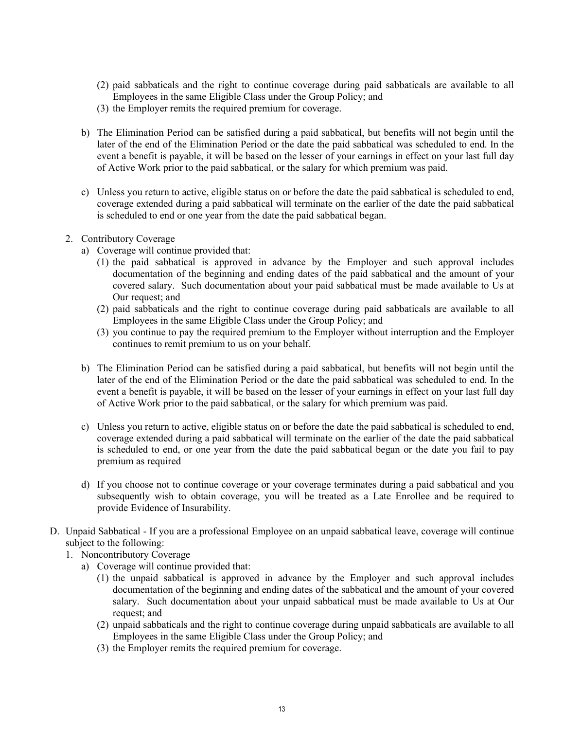- (2) paid sabbaticals and the right to continue coverage during paid sabbaticals are available to all Employees in the same Eligible Class under the Group Policy; and
- (3) the Employer remits the required premium for coverage.
- b) The Elimination Period can be satisfied during a paid sabbatical, but benefits will not begin until the later of the end of the Elimination Period or the date the paid sabbatical was scheduled to end. In the event a benefit is payable, it will be based on the lesser of your earnings in effect on your last full day of Active Work prior to the paid sabbatical, or the salary for which premium was paid.
- c) Unless you return to active, eligible status on or before the date the paid sabbatical is scheduled to end, coverage extended during a paid sabbatical will terminate on the earlier of the date the paid sabbatical is scheduled to end or one year from the date the paid sabbatical began.
- 2. Contributory Coverage
	- a) Coverage will continue provided that:
		- (1) the paid sabbatical is approved in advance by the Employer and such approval includes documentation of the beginning and ending dates of the paid sabbatical and the amount of your covered salary. Such documentation about your paid sabbatical must be made available to Us at Our request; and
		- (2) paid sabbaticals and the right to continue coverage during paid sabbaticals are available to all Employees in the same Eligible Class under the Group Policy; and
		- (3) you continue to pay the required premium to the Employer without interruption and the Employer continues to remit premium to us on your behalf.
	- b) The Elimination Period can be satisfied during a paid sabbatical, but benefits will not begin until the later of the end of the Elimination Period or the date the paid sabbatical was scheduled to end. In the event a benefit is payable, it will be based on the lesser of your earnings in effect on your last full day of Active Work prior to the paid sabbatical, or the salary for which premium was paid.
	- c) Unless you return to active, eligible status on or before the date the paid sabbatical is scheduled to end, coverage extended during a paid sabbatical will terminate on the earlier of the date the paid sabbatical is scheduled to end, or one year from the date the paid sabbatical began or the date you fail to pay premium as required
	- d) If you choose not to continue coverage or your coverage terminates during a paid sabbatical and you subsequently wish to obtain coverage, you will be treated as a Late Enrollee and be required to provide Evidence of Insurability.
- D. Unpaid Sabbatical If you are a professional Employee on an unpaid sabbatical leave, coverage will continue subject to the following:
	- 1. Noncontributory Coverage
		- a) Coverage will continue provided that:
			- (1) the unpaid sabbatical is approved in advance by the Employer and such approval includes documentation of the beginning and ending dates of the sabbatical and the amount of your covered salary. Such documentation about your unpaid sabbatical must be made available to Us at Our request; and
			- (2) unpaid sabbaticals and the right to continue coverage during unpaid sabbaticals are available to all Employees in the same Eligible Class under the Group Policy; and
			- (3) the Employer remits the required premium for coverage.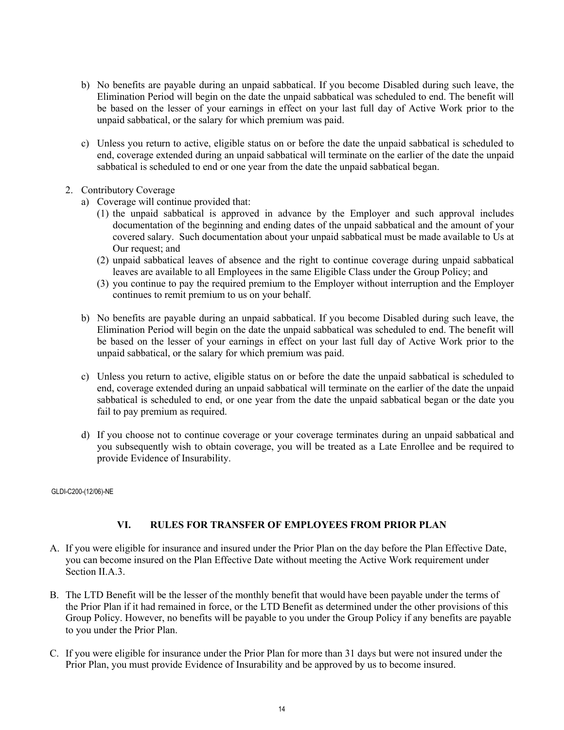- b) No benefits are payable during an unpaid sabbatical. If you become Disabled during such leave, the Elimination Period will begin on the date the unpaid sabbatical was scheduled to end. The benefit will be based on the lesser of your earnings in effect on your last full day of Active Work prior to the unpaid sabbatical, or the salary for which premium was paid.
- c) Unless you return to active, eligible status on or before the date the unpaid sabbatical is scheduled to end, coverage extended during an unpaid sabbatical will terminate on the earlier of the date the unpaid sabbatical is scheduled to end or one year from the date the unpaid sabbatical began.
- 2. Contributory Coverage
	- a) Coverage will continue provided that:
		- (1) the unpaid sabbatical is approved in advance by the Employer and such approval includes documentation of the beginning and ending dates of the unpaid sabbatical and the amount of your covered salary. Such documentation about your unpaid sabbatical must be made available to Us at Our request; and
		- (2) unpaid sabbatical leaves of absence and the right to continue coverage during unpaid sabbatical leaves are available to all Employees in the same Eligible Class under the Group Policy; and
		- (3) you continue to pay the required premium to the Employer without interruption and the Employer continues to remit premium to us on your behalf.
	- b) No benefits are payable during an unpaid sabbatical. If you become Disabled during such leave, the Elimination Period will begin on the date the unpaid sabbatical was scheduled to end. The benefit will be based on the lesser of your earnings in effect on your last full day of Active Work prior to the unpaid sabbatical, or the salary for which premium was paid.
	- c) Unless you return to active, eligible status on or before the date the unpaid sabbatical is scheduled to end, coverage extended during an unpaid sabbatical will terminate on the earlier of the date the unpaid sabbatical is scheduled to end, or one year from the date the unpaid sabbatical began or the date you fail to pay premium as required.
	- d) If you choose not to continue coverage or your coverage terminates during an unpaid sabbatical and you subsequently wish to obtain coverage, you will be treated as a Late Enrollee and be required to provide Evidence of Insurability.

#### **VI. RULES FOR TRANSFER OF EMPLOYEES FROM PRIOR PLAN**

- A. If you were eligible for insurance and insured under the Prior Plan on the day before the Plan Effective Date, you can become insured on the Plan Effective Date without meeting the Active Work requirement under Section II.A.3.
- B. The LTD Benefit will be the lesser of the monthly benefit that would have been payable under the terms of the Prior Plan if it had remained in force, or the LTD Benefit as determined under the other provisions of this Group Policy. However, no benefits will be payable to you under the Group Policy if any benefits are payable to you under the Prior Plan.
- C. If you were eligible for insurance under the Prior Plan for more than 31 days but were not insured under the Prior Plan, you must provide Evidence of Insurability and be approved by us to become insured.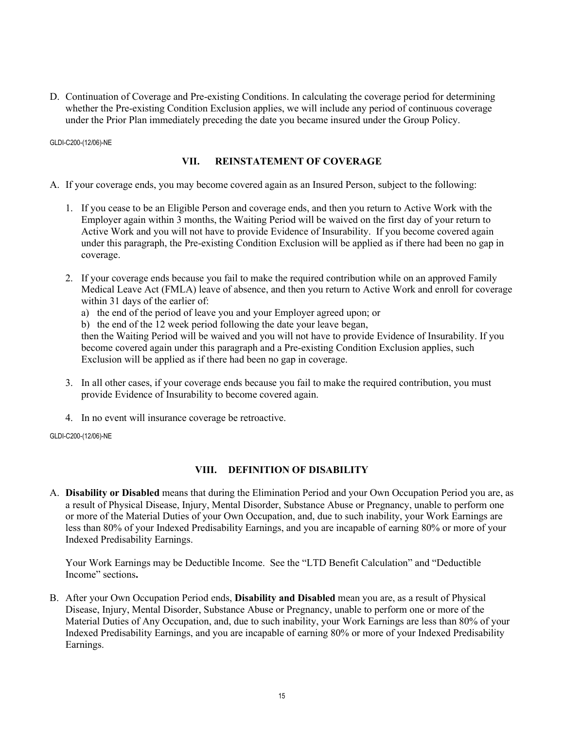D. Continuation of Coverage and Pre-existing Conditions. In calculating the coverage period for determining whether the Pre-existing Condition Exclusion applies, we will include any period of continuous coverage under the Prior Plan immediately preceding the date you became insured under the Group Policy.

GLDI-C200-(12/06)-NE

#### **VII. REINSTATEMENT OF COVERAGE**

- A. If your coverage ends, you may become covered again as an Insured Person, subject to the following:
	- 1. If you cease to be an Eligible Person and coverage ends, and then you return to Active Work with the Employer again within 3 months, the Waiting Period will be waived on the first day of your return to Active Work and you will not have to provide Evidence of Insurability. If you become covered again under this paragraph, the Pre-existing Condition Exclusion will be applied as if there had been no gap in coverage.
	- 2. If your coverage ends because you fail to make the required contribution while on an approved Family Medical Leave Act (FMLA) leave of absence, and then you return to Active Work and enroll for coverage within 31 days of the earlier of:
		- a) the end of the period of leave you and your Employer agreed upon; or
		- b) the end of the 12 week period following the date your leave began,

then the Waiting Period will be waived and you will not have to provide Evidence of Insurability. If you become covered again under this paragraph and a Pre-existing Condition Exclusion applies, such Exclusion will be applied as if there had been no gap in coverage.

- 3. In all other cases, if your coverage ends because you fail to make the required contribution, you must provide Evidence of Insurability to become covered again.
- 4. In no event will insurance coverage be retroactive.

GLDI-C200-(12/06)-NE

#### **VIII. DEFINITION OF DISABILITY**

A. **Disability or Disabled** means that during the Elimination Period and your Own Occupation Period you are, as a result of Physical Disease, Injury, Mental Disorder, Substance Abuse or Pregnancy, unable to perform one or more of the Material Duties of your Own Occupation, and, due to such inability, your Work Earnings are less than 80% of your Indexed Predisability Earnings, and you are incapable of earning 80% or more of your Indexed Predisability Earnings.

Your Work Earnings may be Deductible Income. See the "LTD Benefit Calculation" and "Deductible Income" sections**.**

B. After your Own Occupation Period ends, **Disability and Disabled** mean you are, as a result of Physical Disease, Injury, Mental Disorder, Substance Abuse or Pregnancy, unable to perform one or more of the Material Duties of Any Occupation, and, due to such inability, your Work Earnings are less than 80% of your Indexed Predisability Earnings, and you are incapable of earning 80% or more of your Indexed Predisability Earnings.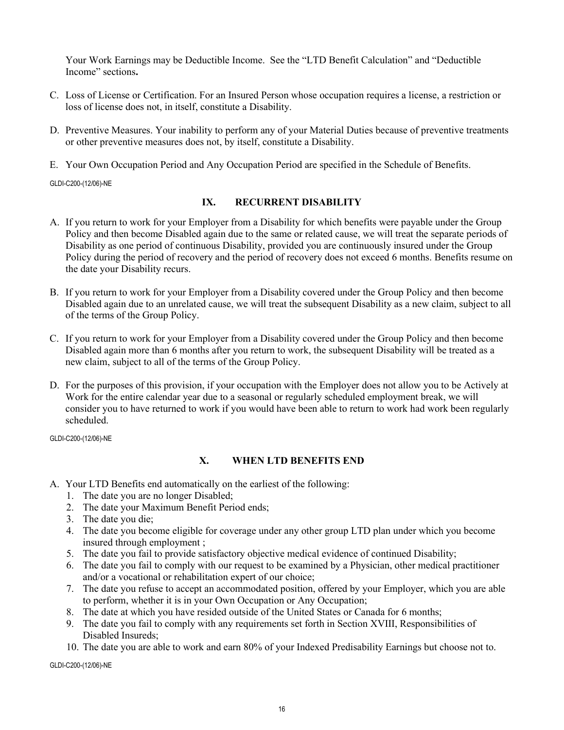Your Work Earnings may be Deductible Income. See the "LTD Benefit Calculation" and "Deductible Income" sections**.**

- C. Loss of License or Certification. For an Insured Person whose occupation requires a license, a restriction or loss of license does not, in itself, constitute a Disability.
- D. Preventive Measures. Your inability to perform any of your Material Duties because of preventive treatments or other preventive measures does not, by itself, constitute a Disability.
- E. Your Own Occupation Period and Any Occupation Period are specified in the Schedule of Benefits.

GLDI-C200-(12/06)-NE

#### **IX. RECURRENT DISABILITY**

- A. If you return to work for your Employer from a Disability for which benefits were payable under the Group Policy and then become Disabled again due to the same or related cause, we will treat the separate periods of Disability as one period of continuous Disability, provided you are continuously insured under the Group Policy during the period of recovery and the period of recovery does not exceed 6 months. Benefits resume on the date your Disability recurs.
- B. If you return to work for your Employer from a Disability covered under the Group Policy and then become Disabled again due to an unrelated cause, we will treat the subsequent Disability as a new claim, subject to all of the terms of the Group Policy.
- C. If you return to work for your Employer from a Disability covered under the Group Policy and then become Disabled again more than 6 months after you return to work, the subsequent Disability will be treated as a new claim, subject to all of the terms of the Group Policy.
- D. For the purposes of this provision, if your occupation with the Employer does not allow you to be Actively at Work for the entire calendar year due to a seasonal or regularly scheduled employment break, we will consider you to have returned to work if you would have been able to return to work had work been regularly scheduled.

GLDI-C200-(12/06)-NE

# **X. WHEN LTD BENEFITS END**

- A. Your LTD Benefits end automatically on the earliest of the following:
	- 1. The date you are no longer Disabled;
	- 2. The date your Maximum Benefit Period ends;
	- 3. The date you die;
	- 4. The date you become eligible for coverage under any other group LTD plan under which you become insured through employment ;
	- 5. The date you fail to provide satisfactory objective medical evidence of continued Disability;
	- 6. The date you fail to comply with our request to be examined by a Physician, other medical practitioner and/or a vocational or rehabilitation expert of our choice;
	- 7. The date you refuse to accept an accommodated position, offered by your Employer, which you are able to perform, whether it is in your Own Occupation or Any Occupation;
	- 8. The date at which you have resided outside of the United States or Canada for 6 months;
	- 9. The date you fail to comply with any requirements set forth in Section XVIII, Responsibilities of Disabled Insureds;
	- 10. The date you are able to work and earn 80% of your Indexed Predisability Earnings but choose not to.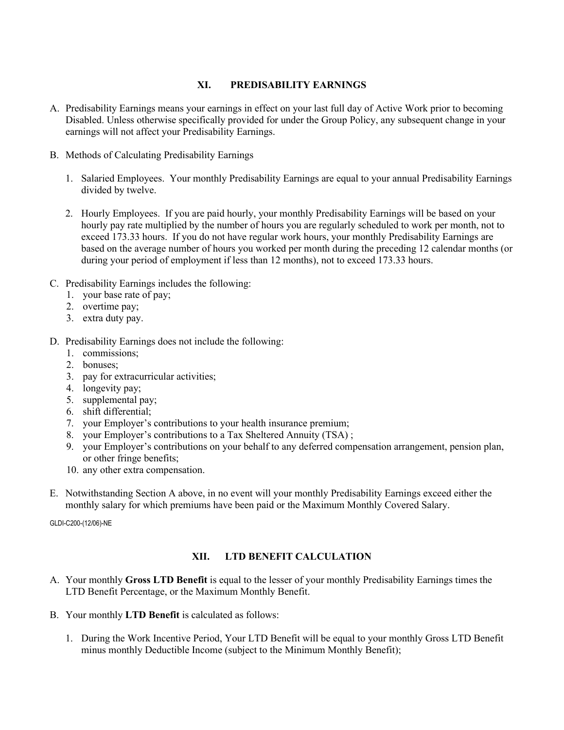# **XI. PREDISABILITY EARNINGS**

- A. Predisability Earnings means your earnings in effect on your last full day of Active Work prior to becoming Disabled. Unless otherwise specifically provided for under the Group Policy, any subsequent change in your earnings will not affect your Predisability Earnings.
- B. Methods of Calculating Predisability Earnings
	- 1. Salaried Employees. Your monthly Predisability Earnings are equal to your annual Predisability Earnings divided by twelve.
	- 2. Hourly Employees. If you are paid hourly, your monthly Predisability Earnings will be based on your hourly pay rate multiplied by the number of hours you are regularly scheduled to work per month, not to exceed 173.33 hours. If you do not have regular work hours, your monthly Predisability Earnings are based on the average number of hours you worked per month during the preceding 12 calendar months (or during your period of employment if less than 12 months), not to exceed 173.33 hours.
- C. Predisability Earnings includes the following:
	- 1. your base rate of pay;
	- 2. overtime pay;
	- 3. extra duty pay.
- D. Predisability Earnings does not include the following:
	- 1. commissions;
	- 2. bonuses;
	- 3. pay for extracurricular activities;
	- 4. longevity pay;
	- 5. supplemental pay;
	- 6. shift differential;
	- 7. your Employer's contributions to your health insurance premium;
	- 8. your Employer's contributions to a Tax Sheltered Annuity (TSA) ;
	- 9. your Employer's contributions on your behalf to any deferred compensation arrangement, pension plan, or other fringe benefits;
	- 10. any other extra compensation.
- E. Notwithstanding Section A above, in no event will your monthly Predisability Earnings exceed either the monthly salary for which premiums have been paid or the Maximum Monthly Covered Salary.

GLDI-C200-(12/06)-NE

# **XII. LTD BENEFIT CALCULATION**

- A. Your monthly **Gross LTD Benefit** is equal to the lesser of your monthly Predisability Earnings times the LTD Benefit Percentage, or the Maximum Monthly Benefit.
- B. Your monthly **LTD Benefit** is calculated as follows:
	- 1. During the Work Incentive Period, Your LTD Benefit will be equal to your monthly Gross LTD Benefit minus monthly Deductible Income (subject to the Minimum Monthly Benefit);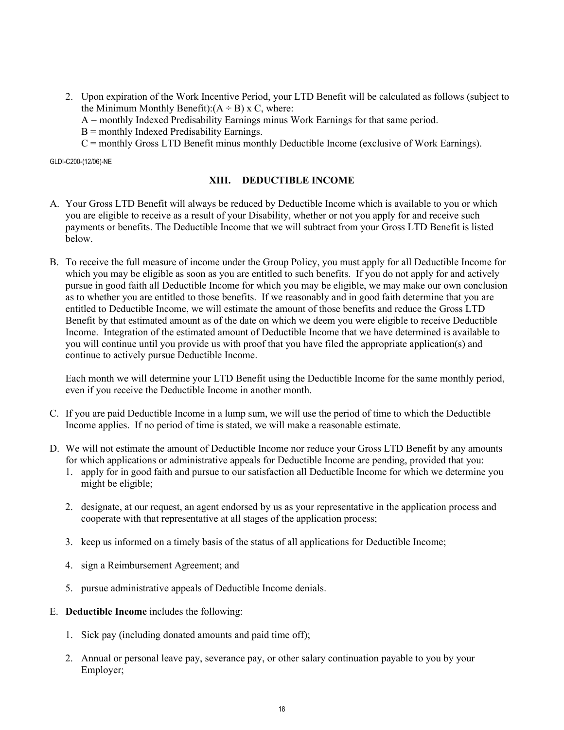2. Upon expiration of the Work Incentive Period, your LTD Benefit will be calculated as follows (subject to the Minimum Monthly Benefit): $(A \div B)$  x C, where:

A = monthly Indexed Predisability Earnings minus Work Earnings for that same period.

 $B =$  monthly Indexed Predisability Earnings.

C = monthly Gross LTD Benefit minus monthly Deductible Income (exclusive of Work Earnings).

GLDI-C200-(12/06)-NE

#### **XIII. DEDUCTIBLE INCOME**

- A. Your Gross LTD Benefit will always be reduced by Deductible Income which is available to you or which you are eligible to receive as a result of your Disability, whether or not you apply for and receive such payments or benefits. The Deductible Income that we will subtract from your Gross LTD Benefit is listed below.
- B. To receive the full measure of income under the Group Policy, you must apply for all Deductible Income for which you may be eligible as soon as you are entitled to such benefits. If you do not apply for and actively pursue in good faith all Deductible Income for which you may be eligible, we may make our own conclusion as to whether you are entitled to those benefits. If we reasonably and in good faith determine that you are entitled to Deductible Income, we will estimate the amount of those benefits and reduce the Gross LTD Benefit by that estimated amount as of the date on which we deem you were eligible to receive Deductible Income. Integration of the estimated amount of Deductible Income that we have determined is available to you will continue until you provide us with proof that you have filed the appropriate application(s) and continue to actively pursue Deductible Income.

Each month we will determine your LTD Benefit using the Deductible Income for the same monthly period, even if you receive the Deductible Income in another month.

- C. If you are paid Deductible Income in a lump sum, we will use the period of time to which the Deductible Income applies. If no period of time is stated, we will make a reasonable estimate.
- D. We will not estimate the amount of Deductible Income nor reduce your Gross LTD Benefit by any amounts for which applications or administrative appeals for Deductible Income are pending, provided that you:
	- 1. apply for in good faith and pursue to our satisfaction all Deductible Income for which we determine you might be eligible;
	- 2. designate, at our request, an agent endorsed by us as your representative in the application process and cooperate with that representative at all stages of the application process;
	- 3. keep us informed on a timely basis of the status of all applications for Deductible Income;
	- 4. sign a Reimbursement Agreement; and
	- 5. pursue administrative appeals of Deductible Income denials.
- E. **Deductible Income** includes the following:
	- 1. Sick pay (including donated amounts and paid time off);
	- 2. Annual or personal leave pay, severance pay, or other salary continuation payable to you by your Employer;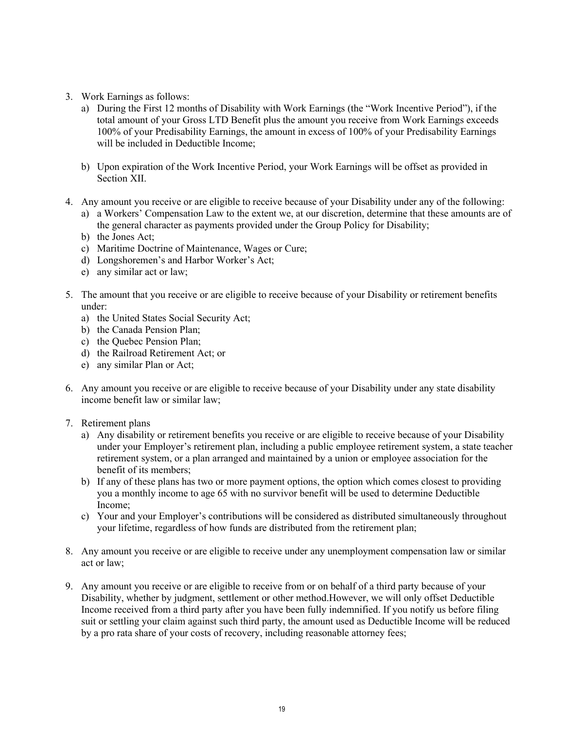- 3. Work Earnings as follows:
	- a) During the First 12 months of Disability with Work Earnings (the "Work Incentive Period"), if the total amount of your Gross LTD Benefit plus the amount you receive from Work Earnings exceeds 100% of your Predisability Earnings, the amount in excess of 100% of your Predisability Earnings will be included in Deductible Income;
	- b) Upon expiration of the Work Incentive Period, your Work Earnings will be offset as provided in Section XII.
- 4. Any amount you receive or are eligible to receive because of your Disability under any of the following:
	- a) a Workers' Compensation Law to the extent we, at our discretion, determine that these amounts are of the general character as payments provided under the Group Policy for Disability;
	- b) the Jones Act;
	- c) Maritime Doctrine of Maintenance, Wages or Cure;
	- d) Longshoremen's and Harbor Worker's Act;
	- e) any similar act or law;
- 5. The amount that you receive or are eligible to receive because of your Disability or retirement benefits under:
	- a) the United States Social Security Act;
	- b) the Canada Pension Plan;
	- c) the Quebec Pension Plan;
	- d) the Railroad Retirement Act; or
	- e) any similar Plan or Act;
- 6. Any amount you receive or are eligible to receive because of your Disability under any state disability income benefit law or similar law;
- 7. Retirement plans
	- a) Any disability or retirement benefits you receive or are eligible to receive because of your Disability under your Employer's retirement plan, including a public employee retirement system, a state teacher retirement system, or a plan arranged and maintained by a union or employee association for the benefit of its members;
	- b) If any of these plans has two or more payment options, the option which comes closest to providing you a monthly income to age 65 with no survivor benefit will be used to determine Deductible Income;
	- c) Your and your Employer's contributions will be considered as distributed simultaneously throughout your lifetime, regardless of how funds are distributed from the retirement plan;
- 8. Any amount you receive or are eligible to receive under any unemployment compensation law or similar act or law;
- 9. Any amount you receive or are eligible to receive from or on behalf of a third party because of your Disability, whether by judgment, settlement or other method.However, we will only offset Deductible Income received from a third party after you have been fully indemnified. If you notify us before filing suit or settling your claim against such third party, the amount used as Deductible Income will be reduced by a pro rata share of your costs of recovery, including reasonable attorney fees;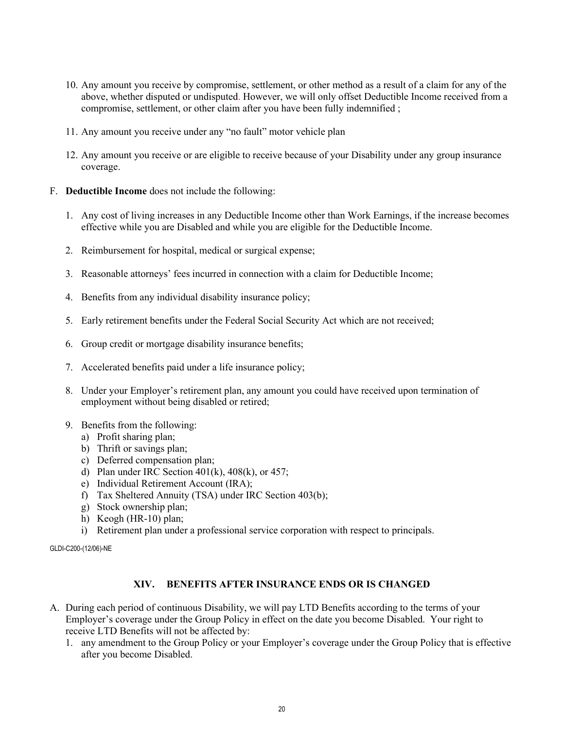- 10. Any amount you receive by compromise, settlement, or other method as a result of a claim for any of the above, whether disputed or undisputed. However, we will only offset Deductible Income received from a compromise, settlement, or other claim after you have been fully indemnified ;
- 11. Any amount you receive under any "no fault" motor vehicle plan
- 12. Any amount you receive or are eligible to receive because of your Disability under any group insurance coverage.
- F. **Deductible Income** does not include the following:
	- 1. Any cost of living increases in any Deductible Income other than Work Earnings, if the increase becomes effective while you are Disabled and while you are eligible for the Deductible Income.
	- 2. Reimbursement for hospital, medical or surgical expense;
	- 3. Reasonable attorneys' fees incurred in connection with a claim for Deductible Income;
	- 4. Benefits from any individual disability insurance policy;
	- 5. Early retirement benefits under the Federal Social Security Act which are not received;
	- 6. Group credit or mortgage disability insurance benefits;
	- 7. Accelerated benefits paid under a life insurance policy;
	- 8. Under your Employer's retirement plan, any amount you could have received upon termination of employment without being disabled or retired;
	- 9. Benefits from the following:
		- a) Profit sharing plan;
		- b) Thrift or savings plan;
		- c) Deferred compensation plan;
		- d) Plan under IRC Section  $401(k)$ ,  $408(k)$ , or  $457$ ;
		- e) Individual Retirement Account (IRA);
		- f) Tax Sheltered Annuity (TSA) under IRC Section 403(b);
		- g) Stock ownership plan;
		- h) Keogh (HR-10) plan;
		- i) Retirement plan under a professional service corporation with respect to principals.

#### **XIV. BENEFITS AFTER INSURANCE ENDS OR IS CHANGED**

- A. During each period of continuous Disability, we will pay LTD Benefits according to the terms of your Employer's coverage under the Group Policy in effect on the date you become Disabled. Your right to receive LTD Benefits will not be affected by:
	- 1. any amendment to the Group Policy or your Employer's coverage under the Group Policy that is effective after you become Disabled.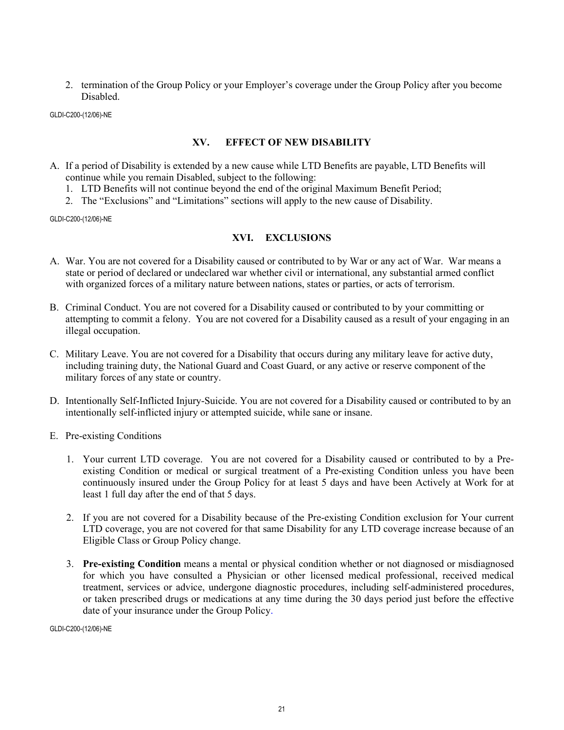2. termination of the Group Policy or your Employer's coverage under the Group Policy after you become Disabled.

GLDI-C200-(12/06)-NE

#### **XV. EFFECT OF NEW DISABILITY**

- A. If a period of Disability is extended by a new cause while LTD Benefits are payable, LTD Benefits will continue while you remain Disabled, subject to the following:
	- 1. LTD Benefits will not continue beyond the end of the original Maximum Benefit Period;
	- 2. The "Exclusions" and "Limitations" sections will apply to the new cause of Disability.

GLDI-C200-(12/06)-NE

# **XVI. EXCLUSIONS**

- A. War. You are not covered for a Disability caused or contributed to by War or any act of War. War means a state or period of declared or undeclared war whether civil or international, any substantial armed conflict with organized forces of a military nature between nations, states or parties, or acts of terrorism.
- B. Criminal Conduct. You are not covered for a Disability caused or contributed to by your committing or attempting to commit a felony. You are not covered for a Disability caused as a result of your engaging in an illegal occupation.
- C. Military Leave. You are not covered for a Disability that occurs during any military leave for active duty, including training duty, the National Guard and Coast Guard, or any active or reserve component of the military forces of any state or country.
- D. Intentionally Self-Inflicted Injury-Suicide. You are not covered for a Disability caused or contributed to by an intentionally self-inflicted injury or attempted suicide, while sane or insane.
- E. Pre-existing Conditions
	- 1. Your current LTD coverage. You are not covered for a Disability caused or contributed to by a Preexisting Condition or medical or surgical treatment of a Pre-existing Condition unless you have been continuously insured under the Group Policy for at least 5 days and have been Actively at Work for at least 1 full day after the end of that 5 days.
	- 2. If you are not covered for a Disability because of the Pre-existing Condition exclusion for Your current LTD coverage, you are not covered for that same Disability for any LTD coverage increase because of an Eligible Class or Group Policy change.
	- 3. **Pre-existing Condition** means a mental or physical condition whether or not diagnosed or misdiagnosed for which you have consulted a Physician or other licensed medical professional, received medical treatment, services or advice, undergone diagnostic procedures, including self-administered procedures, or taken prescribed drugs or medications at any time during the 30 days period just before the effective date of your insurance under the Group Policy.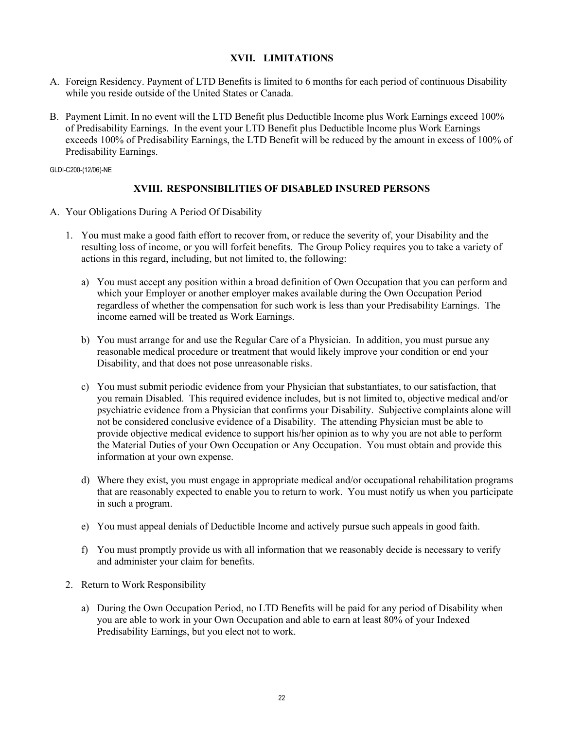# **XVII. LIMITATIONS**

- A. Foreign Residency. Payment of LTD Benefits is limited to 6 months for each period of continuous Disability while you reside outside of the United States or Canada.
- B. Payment Limit. In no event will the LTD Benefit plus Deductible Income plus Work Earnings exceed 100% of Predisability Earnings. In the event your LTD Benefit plus Deductible Income plus Work Earnings exceeds 100% of Predisability Earnings, the LTD Benefit will be reduced by the amount in excess of 100% of Predisability Earnings.

GLDI-C200-(12/06)-NE

#### **XVIII. RESPONSIBILITIES OF DISABLED INSURED PERSONS**

- A. Your Obligations During A Period Of Disability
	- 1. You must make a good faith effort to recover from, or reduce the severity of, your Disability and the resulting loss of income, or you will forfeit benefits. The Group Policy requires you to take a variety of actions in this regard, including, but not limited to, the following:
		- a) You must accept any position within a broad definition of Own Occupation that you can perform and which your Employer or another employer makes available during the Own Occupation Period regardless of whether the compensation for such work is less than your Predisability Earnings. The income earned will be treated as Work Earnings.
		- b) You must arrange for and use the Regular Care of a Physician. In addition, you must pursue any reasonable medical procedure or treatment that would likely improve your condition or end your Disability, and that does not pose unreasonable risks.
		- c) You must submit periodic evidence from your Physician that substantiates, to our satisfaction, that you remain Disabled. This required evidence includes, but is not limited to, objective medical and/or psychiatric evidence from a Physician that confirms your Disability. Subjective complaints alone will not be considered conclusive evidence of a Disability. The attending Physician must be able to provide objective medical evidence to support his/her opinion as to why you are not able to perform the Material Duties of your Own Occupation or Any Occupation. You must obtain and provide this information at your own expense.
		- d) Where they exist, you must engage in appropriate medical and/or occupational rehabilitation programs that are reasonably expected to enable you to return to work. You must notify us when you participate in such a program.
		- e) You must appeal denials of Deductible Income and actively pursue such appeals in good faith.
		- f) You must promptly provide us with all information that we reasonably decide is necessary to verify and administer your claim for benefits.
	- 2. Return to Work Responsibility
		- a) During the Own Occupation Period, no LTD Benefits will be paid for any period of Disability when you are able to work in your Own Occupation and able to earn at least 80% of your Indexed Predisability Earnings, but you elect not to work.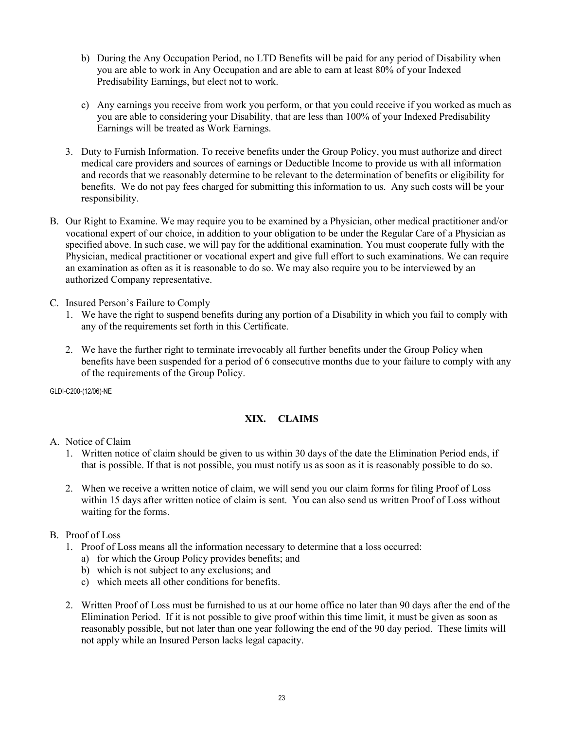- b) During the Any Occupation Period, no LTD Benefits will be paid for any period of Disability when you are able to work in Any Occupation and are able to earn at least 80% of your Indexed Predisability Earnings, but elect not to work.
- c) Any earnings you receive from work you perform, or that you could receive if you worked as much as you are able to considering your Disability, that are less than 100% of your Indexed Predisability Earnings will be treated as Work Earnings.
- 3. Duty to Furnish Information. To receive benefits under the Group Policy, you must authorize and direct medical care providers and sources of earnings or Deductible Income to provide us with all information and records that we reasonably determine to be relevant to the determination of benefits or eligibility for benefits. We do not pay fees charged for submitting this information to us. Any such costs will be your responsibility.
- B. Our Right to Examine. We may require you to be examined by a Physician, other medical practitioner and/or vocational expert of our choice, in addition to your obligation to be under the Regular Care of a Physician as specified above. In such case, we will pay for the additional examination. You must cooperate fully with the Physician, medical practitioner or vocational expert and give full effort to such examinations. We can require an examination as often as it is reasonable to do so. We may also require you to be interviewed by an authorized Company representative.
- C. Insured Person's Failure to Comply
	- 1. We have the right to suspend benefits during any portion of a Disability in which you fail to comply with any of the requirements set forth in this Certificate.
	- 2. We have the further right to terminate irrevocably all further benefits under the Group Policy when benefits have been suspended for a period of 6 consecutive months due to your failure to comply with any of the requirements of the Group Policy.

# **XIX. CLAIMS**

- A. Notice of Claim
	- 1. Written notice of claim should be given to us within 30 days of the date the Elimination Period ends, if that is possible. If that is not possible, you must notify us as soon as it is reasonably possible to do so.
	- 2. When we receive a written notice of claim, we will send you our claim forms for filing Proof of Loss within 15 days after written notice of claim is sent. You can also send us written Proof of Loss without waiting for the forms.
- B. Proof of Loss
	- 1. Proof of Loss means all the information necessary to determine that a loss occurred:
		- a) for which the Group Policy provides benefits; and
		- b) which is not subject to any exclusions; and
		- c) which meets all other conditions for benefits.
	- 2. Written Proof of Loss must be furnished to us at our home office no later than 90 days after the end of the Elimination Period. If it is not possible to give proof within this time limit, it must be given as soon as reasonably possible, but not later than one year following the end of the 90 day period. These limits will not apply while an Insured Person lacks legal capacity.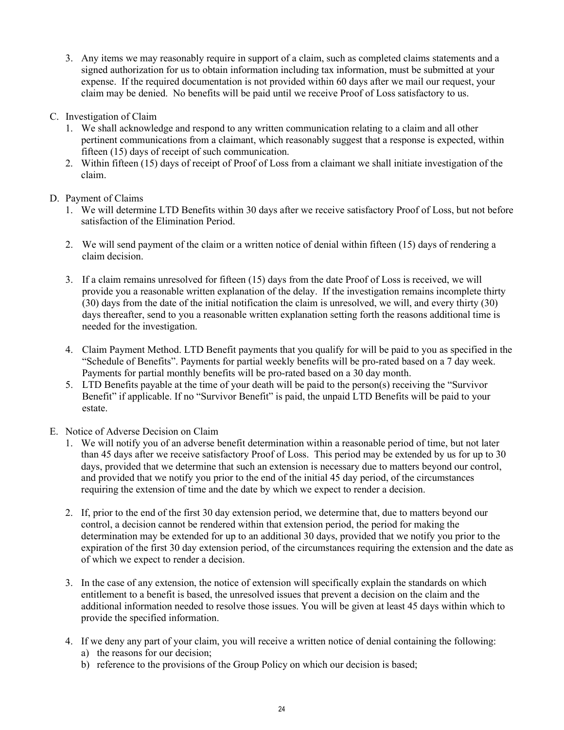- 3. Any items we may reasonably require in support of a claim, such as completed claims statements and a signed authorization for us to obtain information including tax information, must be submitted at your expense. If the required documentation is not provided within 60 days after we mail our request, your claim may be denied. No benefits will be paid until we receive Proof of Loss satisfactory to us.
- C. Investigation of Claim
	- 1. We shall acknowledge and respond to any written communication relating to a claim and all other pertinent communications from a claimant, which reasonably suggest that a response is expected, within fifteen (15) days of receipt of such communication.
	- 2. Within fifteen (15) days of receipt of Proof of Loss from a claimant we shall initiate investigation of the claim.
- D. Payment of Claims
	- 1. We will determine LTD Benefits within 30 days after we receive satisfactory Proof of Loss, but not before satisfaction of the Elimination Period.
	- 2. We will send payment of the claim or a written notice of denial within fifteen (15) days of rendering a claim decision.
	- 3. If a claim remains unresolved for fifteen (15) days from the date Proof of Loss is received, we will provide you a reasonable written explanation of the delay. If the investigation remains incomplete thirty (30) days from the date of the initial notification the claim is unresolved, we will, and every thirty (30) days thereafter, send to you a reasonable written explanation setting forth the reasons additional time is needed for the investigation.
	- 4. Claim Payment Method. LTD Benefit payments that you qualify for will be paid to you as specified in the "Schedule of Benefits". Payments for partial weekly benefits will be pro-rated based on a 7 day week. Payments for partial monthly benefits will be pro-rated based on a 30 day month.
	- 5. LTD Benefits payable at the time of your death will be paid to the person(s) receiving the "Survivor Benefit" if applicable. If no "Survivor Benefit" is paid, the unpaid LTD Benefits will be paid to your estate.
- E. Notice of Adverse Decision on Claim
	- 1. We will notify you of an adverse benefit determination within a reasonable period of time, but not later than 45 days after we receive satisfactory Proof of Loss. This period may be extended by us for up to 30 days, provided that we determine that such an extension is necessary due to matters beyond our control, and provided that we notify you prior to the end of the initial 45 day period, of the circumstances requiring the extension of time and the date by which we expect to render a decision.
	- 2. If, prior to the end of the first 30 day extension period, we determine that, due to matters beyond our control, a decision cannot be rendered within that extension period, the period for making the determination may be extended for up to an additional 30 days, provided that we notify you prior to the expiration of the first 30 day extension period, of the circumstances requiring the extension and the date as of which we expect to render a decision.
	- 3. In the case of any extension, the notice of extension will specifically explain the standards on which entitlement to a benefit is based, the unresolved issues that prevent a decision on the claim and the additional information needed to resolve those issues. You will be given at least 45 days within which to provide the specified information.
	- 4. If we deny any part of your claim, you will receive a written notice of denial containing the following:
		- a) the reasons for our decision;
		- b) reference to the provisions of the Group Policy on which our decision is based;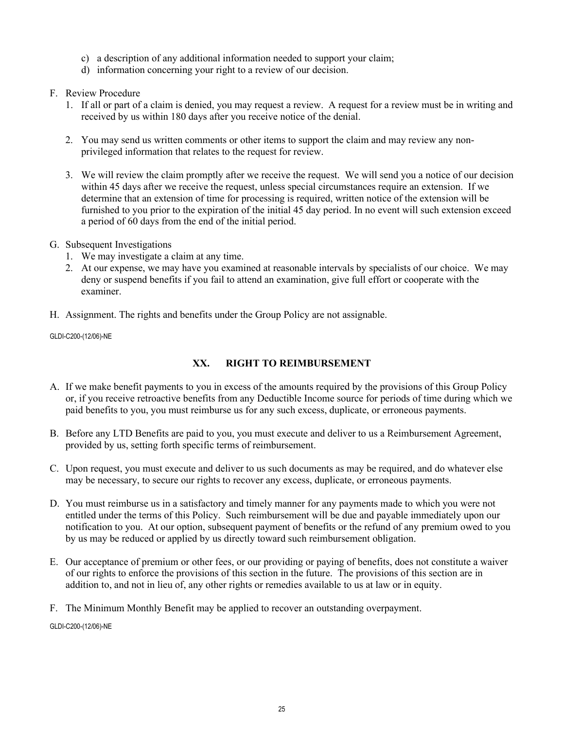- c) a description of any additional information needed to support your claim;
- d) information concerning your right to a review of our decision.

# F. Review Procedure

- 1. If all or part of a claim is denied, you may request a review. A request for a review must be in writing and received by us within 180 days after you receive notice of the denial.
- 2. You may send us written comments or other items to support the claim and may review any nonprivileged information that relates to the request for review.
- 3. We will review the claim promptly after we receive the request. We will send you a notice of our decision within 45 days after we receive the request, unless special circumstances require an extension. If we determine that an extension of time for processing is required, written notice of the extension will be furnished to you prior to the expiration of the initial 45 day period. In no event will such extension exceed a period of 60 days from the end of the initial period.
- G. Subsequent Investigations
	- 1. We may investigate a claim at any time.
	- 2. At our expense, we may have you examined at reasonable intervals by specialists of our choice. We may deny or suspend benefits if you fail to attend an examination, give full effort or cooperate with the examiner.
- H. Assignment. The rights and benefits under the Group Policy are not assignable.

GLDI-C200-(12/06)-NE

# **XX. RIGHT TO REIMBURSEMENT**

- A. If we make benefit payments to you in excess of the amounts required by the provisions of this Group Policy or, if you receive retroactive benefits from any Deductible Income source for periods of time during which we paid benefits to you, you must reimburse us for any such excess, duplicate, or erroneous payments.
- B. Before any LTD Benefits are paid to you, you must execute and deliver to us a Reimbursement Agreement, provided by us, setting forth specific terms of reimbursement.
- C. Upon request, you must execute and deliver to us such documents as may be required, and do whatever else may be necessary, to secure our rights to recover any excess, duplicate, or erroneous payments.
- D. You must reimburse us in a satisfactory and timely manner for any payments made to which you were not entitled under the terms of this Policy. Such reimbursement will be due and payable immediately upon our notification to you. At our option, subsequent payment of benefits or the refund of any premium owed to you by us may be reduced or applied by us directly toward such reimbursement obligation.
- E. Our acceptance of premium or other fees, or our providing or paying of benefits, does not constitute a waiver of our rights to enforce the provisions of this section in the future. The provisions of this section are in addition to, and not in lieu of, any other rights or remedies available to us at law or in equity.

F. The Minimum Monthly Benefit may be applied to recover an outstanding overpayment.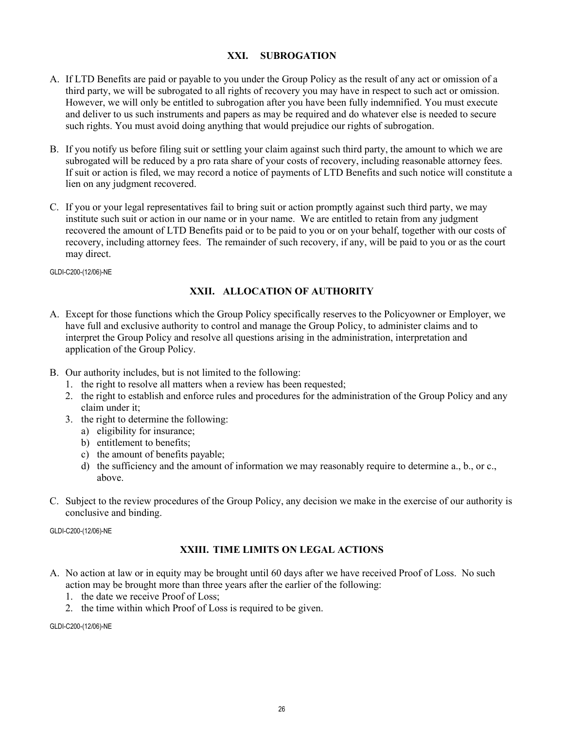# **XXI. SUBROGATION**

- A. If LTD Benefits are paid or payable to you under the Group Policy as the result of any act or omission of a third party, we will be subrogated to all rights of recovery you may have in respect to such act or omission. However, we will only be entitled to subrogation after you have been fully indemnified. You must execute and deliver to us such instruments and papers as may be required and do whatever else is needed to secure such rights. You must avoid doing anything that would prejudice our rights of subrogation.
- B. If you notify us before filing suit or settling your claim against such third party, the amount to which we are subrogated will be reduced by a pro rata share of your costs of recovery, including reasonable attorney fees. If suit or action is filed, we may record a notice of payments of LTD Benefits and such notice will constitute a lien on any judgment recovered.
- C. If you or your legal representatives fail to bring suit or action promptly against such third party, we may institute such suit or action in our name or in your name. We are entitled to retain from any judgment recovered the amount of LTD Benefits paid or to be paid to you or on your behalf, together with our costs of recovery, including attorney fees. The remainder of such recovery, if any, will be paid to you or as the court may direct.

GLDI-C200-(12/06)-NE

# **XXII. ALLOCATION OF AUTHORITY**

- A. Except for those functions which the Group Policy specifically reserves to the Policyowner or Employer, we have full and exclusive authority to control and manage the Group Policy, to administer claims and to interpret the Group Policy and resolve all questions arising in the administration, interpretation and application of the Group Policy.
- B. Our authority includes, but is not limited to the following:
	- 1. the right to resolve all matters when a review has been requested;
	- 2. the right to establish and enforce rules and procedures for the administration of the Group Policy and any claim under it;
	- 3. the right to determine the following:
		- a) eligibility for insurance;
		- b) entitlement to benefits;
		- c) the amount of benefits payable;
		- d) the sufficiency and the amount of information we may reasonably require to determine a., b., or c., above.
- C. Subject to the review procedures of the Group Policy, any decision we make in the exercise of our authority is conclusive and binding.

GLDI-C200-(12/06)-NE

# **XXIII. TIME LIMITS ON LEGAL ACTIONS**

- A. No action at law or in equity may be brought until 60 days after we have received Proof of Loss. No such action may be brought more than three years after the earlier of the following:
	- 1. the date we receive Proof of Loss;
	- 2. the time within which Proof of Loss is required to be given.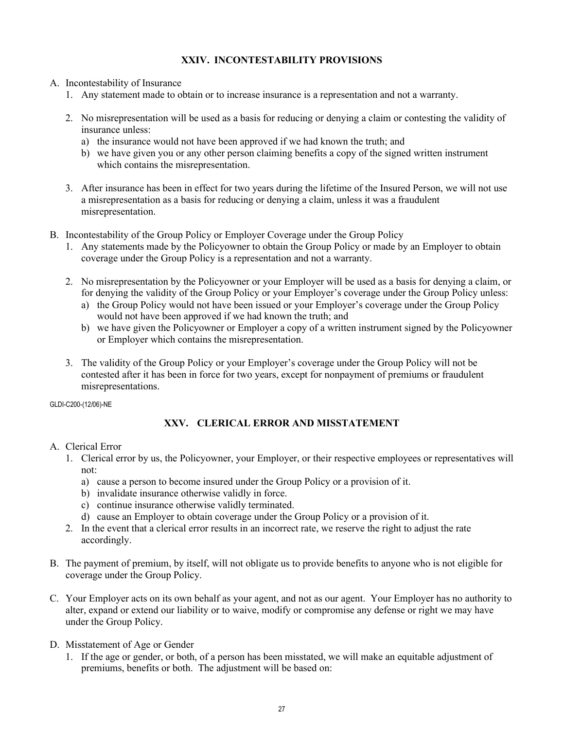# **XXIV. INCONTESTABILITY PROVISIONS**

- A. Incontestability of Insurance
	- 1. Any statement made to obtain or to increase insurance is a representation and not a warranty.
	- 2. No misrepresentation will be used as a basis for reducing or denying a claim or contesting the validity of insurance unless:
		- a) the insurance would not have been approved if we had known the truth; and
		- b) we have given you or any other person claiming benefits a copy of the signed written instrument which contains the misrepresentation.
	- 3. After insurance has been in effect for two years during the lifetime of the Insured Person, we will not use a misrepresentation as a basis for reducing or denying a claim, unless it was a fraudulent misrepresentation.
- B. Incontestability of the Group Policy or Employer Coverage under the Group Policy
	- 1. Any statements made by the Policyowner to obtain the Group Policy or made by an Employer to obtain coverage under the Group Policy is a representation and not a warranty.
	- 2. No misrepresentation by the Policyowner or your Employer will be used as a basis for denying a claim, or for denying the validity of the Group Policy or your Employer's coverage under the Group Policy unless:
		- a) the Group Policy would not have been issued or your Employer's coverage under the Group Policy would not have been approved if we had known the truth; and
		- b) we have given the Policyowner or Employer a copy of a written instrument signed by the Policyowner or Employer which contains the misrepresentation.
	- 3. The validity of the Group Policy or your Employer's coverage under the Group Policy will not be contested after it has been in force for two years, except for nonpayment of premiums or fraudulent misrepresentations.

GLDI-C200-(12/06)-NE

# **XXV. CLERICAL ERROR AND MISSTATEMENT**

# A. Clerical Error

- 1. Clerical error by us, the Policyowner, your Employer, or their respective employees or representatives will not:
	- a) cause a person to become insured under the Group Policy or a provision of it.
	- b) invalidate insurance otherwise validly in force.
	- c) continue insurance otherwise validly terminated.
	- d) cause an Employer to obtain coverage under the Group Policy or a provision of it.
- 2. In the event that a clerical error results in an incorrect rate, we reserve the right to adjust the rate accordingly.
- B. The payment of premium, by itself, will not obligate us to provide benefits to anyone who is not eligible for coverage under the Group Policy.
- C. Your Employer acts on its own behalf as your agent, and not as our agent. Your Employer has no authority to alter, expand or extend our liability or to waive, modify or compromise any defense or right we may have under the Group Policy.
- D. Misstatement of Age or Gender
	- 1. If the age or gender, or both, of a person has been misstated, we will make an equitable adjustment of premiums, benefits or both. The adjustment will be based on: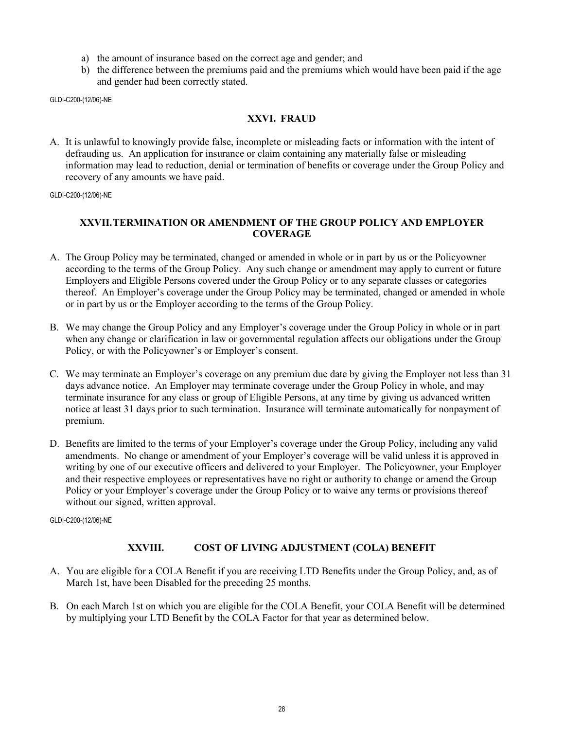- a) the amount of insurance based on the correct age and gender; and
- b) the difference between the premiums paid and the premiums which would have been paid if the age and gender had been correctly stated.

# **XXVI. FRAUD**

A. It is unlawful to knowingly provide false, incomplete or misleading facts or information with the intent of defrauding us. An application for insurance or claim containing any materially false or misleading information may lead to reduction, denial or termination of benefits or coverage under the Group Policy and recovery of any amounts we have paid.

GLDI-C200-(12/06)-NE

# **XXVII.TERMINATION OR AMENDMENT OF THE GROUP POLICY AND EMPLOYER COVERAGE**

- A. The Group Policy may be terminated, changed or amended in whole or in part by us or the Policyowner according to the terms of the Group Policy. Any such change or amendment may apply to current or future Employers and Eligible Persons covered under the Group Policy or to any separate classes or categories thereof. An Employer's coverage under the Group Policy may be terminated, changed or amended in whole or in part by us or the Employer according to the terms of the Group Policy.
- B. We may change the Group Policy and any Employer's coverage under the Group Policy in whole or in part when any change or clarification in law or governmental regulation affects our obligations under the Group Policy, or with the Policyowner's or Employer's consent.
- C. We may terminate an Employer's coverage on any premium due date by giving the Employer not less than 31 days advance notice. An Employer may terminate coverage under the Group Policy in whole, and may terminate insurance for any class or group of Eligible Persons, at any time by giving us advanced written notice at least 31 days prior to such termination. Insurance will terminate automatically for nonpayment of premium.
- D. Benefits are limited to the terms of your Employer's coverage under the Group Policy, including any valid amendments. No change or amendment of your Employer's coverage will be valid unless it is approved in writing by one of our executive officers and delivered to your Employer. The Policyowner, your Employer and their respective employees or representatives have no right or authority to change or amend the Group Policy or your Employer's coverage under the Group Policy or to waive any terms or provisions thereof without our signed, written approval.

GLDI-C200-(12/06)-NE

# **XXVIII. COST OF LIVING ADJUSTMENT (COLA) BENEFIT**

- A. You are eligible for a COLA Benefit if you are receiving LTD Benefits under the Group Policy, and, as of March 1st, have been Disabled for the preceding 25 months.
- B. On each March 1st on which you are eligible for the COLA Benefit, your COLA Benefit will be determined by multiplying your LTD Benefit by the COLA Factor for that year as determined below.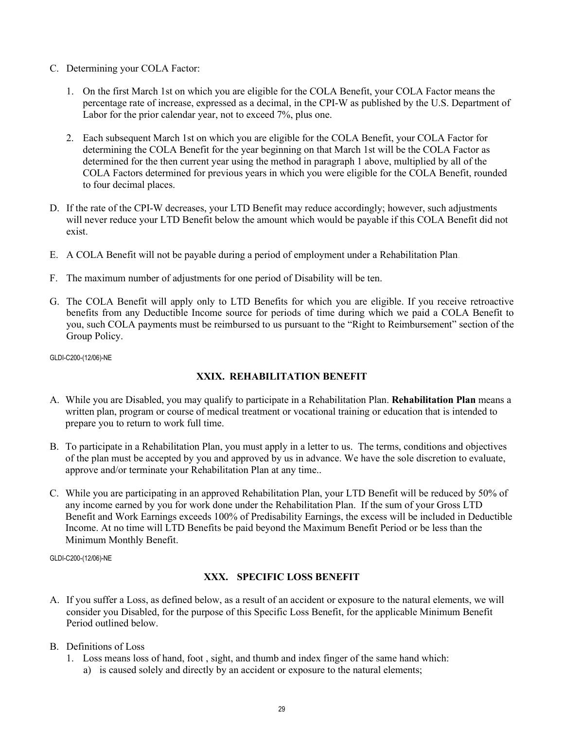- C. Determining your COLA Factor:
	- 1. On the first March 1st on which you are eligible for the COLA Benefit, your COLA Factor means the percentage rate of increase, expressed as a decimal, in the CPI-W as published by the U.S. Department of Labor for the prior calendar year, not to exceed 7%, plus one.
	- 2. Each subsequent March 1st on which you are eligible for the COLA Benefit, your COLA Factor for determining the COLA Benefit for the year beginning on that March 1st will be the COLA Factor as determined for the then current year using the method in paragraph 1 above, multiplied by all of the COLA Factors determined for previous years in which you were eligible for the COLA Benefit, rounded to four decimal places.
- D. If the rate of the CPI-W decreases, your LTD Benefit may reduce accordingly; however, such adjustments will never reduce your LTD Benefit below the amount which would be payable if this COLA Benefit did not exist.
- E. A COLA Benefit will not be payable during a period of employment under a Rehabilitation Plan.
- F. The maximum number of adjustments for one period of Disability will be ten.
- G. The COLA Benefit will apply only to LTD Benefits for which you are eligible. If you receive retroactive benefits from any Deductible Income source for periods of time during which we paid a COLA Benefit to you, such COLA payments must be reimbursed to us pursuant to the "Right to Reimbursement" section of the Group Policy.

#### **XXIX. REHABILITATION BENEFIT**

- A. While you are Disabled, you may qualify to participate in a Rehabilitation Plan. **Rehabilitation Plan** means a written plan, program or course of medical treatment or vocational training or education that is intended to prepare you to return to work full time.
- B. To participate in a Rehabilitation Plan, you must apply in a letter to us. The terms, conditions and objectives of the plan must be accepted by you and approved by us in advance. We have the sole discretion to evaluate, approve and/or terminate your Rehabilitation Plan at any time..
- C. While you are participating in an approved Rehabilitation Plan, your LTD Benefit will be reduced by 50% of any income earned by you for work done under the Rehabilitation Plan. If the sum of your Gross LTD Benefit and Work Earnings exceeds 100% of Predisability Earnings, the excess will be included in Deductible Income. At no time will LTD Benefits be paid beyond the Maximum Benefit Period or be less than the Minimum Monthly Benefit.

GLDI-C200-(12/06)-NE

#### **XXX. SPECIFIC LOSS BENEFIT**

- A. If you suffer a Loss, as defined below, as a result of an accident or exposure to the natural elements, we will consider you Disabled, for the purpose of this Specific Loss Benefit, for the applicable Minimum Benefit Period outlined below.
- B. Definitions of Loss
	- 1. Loss means loss of hand, foot , sight, and thumb and index finger of the same hand which:
		- a) is caused solely and directly by an accident or exposure to the natural elements;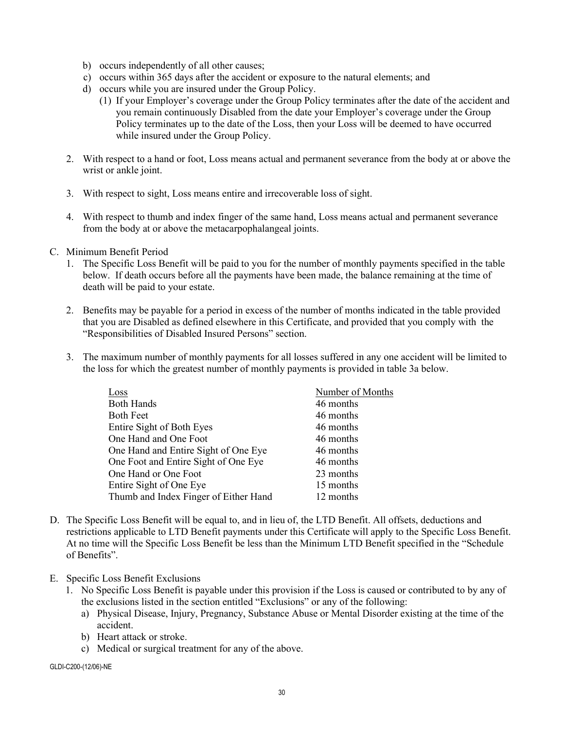- b) occurs independently of all other causes;
- c) occurs within 365 days after the accident or exposure to the natural elements; and
- d) occurs while you are insured under the Group Policy.
	- (1) If your Employer's coverage under the Group Policy terminates after the date of the accident and you remain continuously Disabled from the date your Employer's coverage under the Group Policy terminates up to the date of the Loss, then your Loss will be deemed to have occurred while insured under the Group Policy.
- 2. With respect to a hand or foot, Loss means actual and permanent severance from the body at or above the wrist or ankle joint.
- 3. With respect to sight, Loss means entire and irrecoverable loss of sight.
- 4. With respect to thumb and index finger of the same hand, Loss means actual and permanent severance from the body at or above the metacarpophalangeal joints.
- C. Minimum Benefit Period
	- 1. The Specific Loss Benefit will be paid to you for the number of monthly payments specified in the table below. If death occurs before all the payments have been made, the balance remaining at the time of death will be paid to your estate.
	- 2. Benefits may be payable for a period in excess of the number of months indicated in the table provided that you are Disabled as defined elsewhere in this Certificate, and provided that you comply with the "Responsibilities of Disabled Insured Persons" section.
	- 3. The maximum number of monthly payments for all losses suffered in any one accident will be limited to the loss for which the greatest number of monthly payments is provided in table 3a below.

| Number of Months |
|------------------|
| 46 months        |
| 46 months        |
| 46 months        |
| 46 months        |
| 46 months        |
| 46 months        |
| 23 months        |
| 15 months        |
| 12 months        |
|                  |

- D. The Specific Loss Benefit will be equal to, and in lieu of, the LTD Benefit. All offsets, deductions and restrictions applicable to LTD Benefit payments under this Certificate will apply to the Specific Loss Benefit. At no time will the Specific Loss Benefit be less than the Minimum LTD Benefit specified in the "Schedule of Benefits".
- E. Specific Loss Benefit Exclusions
	- 1. No Specific Loss Benefit is payable under this provision if the Loss is caused or contributed to by any of the exclusions listed in the section entitled "Exclusions" or any of the following:
		- a) Physical Disease, Injury, Pregnancy, Substance Abuse or Mental Disorder existing at the time of the accident.
		- b) Heart attack or stroke.
		- c) Medical or surgical treatment for any of the above.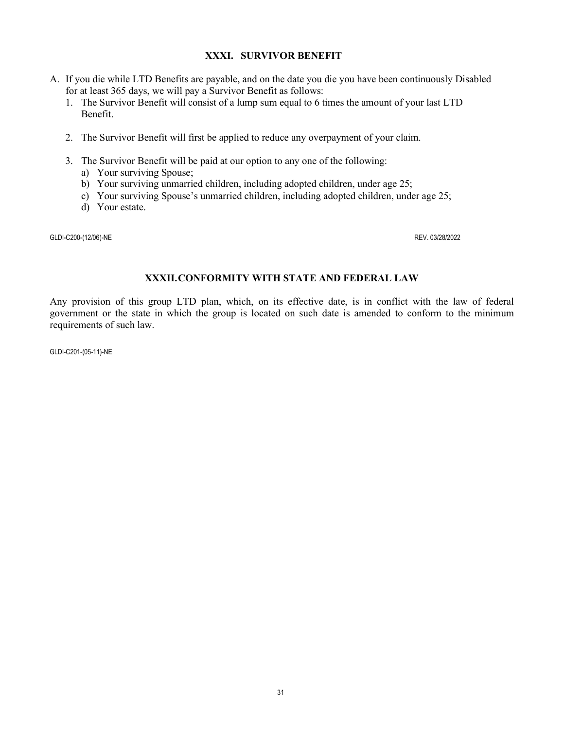# **XXXI. SURVIVOR BENEFIT**

- A. If you die while LTD Benefits are payable, and on the date you die you have been continuously Disabled for at least 365 days, we will pay a Survivor Benefit as follows:
	- 1. The Survivor Benefit will consist of a lump sum equal to 6 times the amount of your last LTD Benefit.
	- 2. The Survivor Benefit will first be applied to reduce any overpayment of your claim.
	- 3. The Survivor Benefit will be paid at our option to any one of the following:
		- a) Your surviving Spouse;
		- b) Your surviving unmarried children, including adopted children, under age 25;
		- c) Your surviving Spouse's unmarried children, including adopted children, under age 25;
		- d) Your estate.

GLDI-C200-(12/06)-NE REV. 03/28/2022

# **XXXII.CONFORMITY WITH STATE AND FEDERAL LAW**

Any provision of this group LTD plan, which, on its effective date, is in conflict with the law of federal government or the state in which the group is located on such date is amended to conform to the minimum requirements of such law.

GLDI-C201-(05-11)-NE